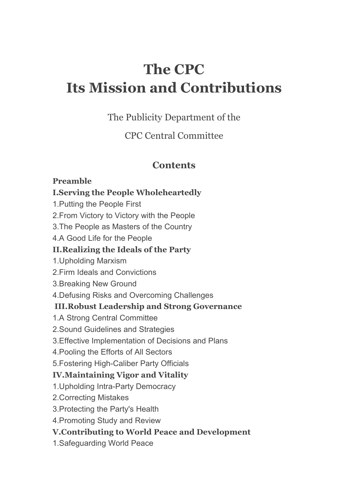# **The CPC Its Mission and Contributions**

The Publicity Department of the

CPC Central Committee

# **Contents**

#### **Preamble**

#### **I.Serving the People Wholeheartedly**

1.Putting the People First

2.From Victory to Victory with the People

3.The People as Masters of the Country

4.A Good Life for the People

## **II.Realizing the Ideals of the Party**

1.Upholding Marxism

2.Firm Ideals and Convictions

- 3.Breaking New Ground
- 4.Defusing Risks and Overcoming Challenges

## **III.Robust Leadership and Strong Governance**

- 1.A Strong Central Committee
- 2.Sound Guidelines and Strategies
- 3.Effective Implementation of Decisions and Plans
- 4.Pooling the Efforts of All Sectors
- 5.Fostering High-Caliber Party Officials

## **IV.Maintaining Vigor and Vitality**

- 1.Upholding Intra-Party Democracy
- 2.Correcting Mistakes
- 3.Protecting the Party's Health
- 4.Promoting Study and Review

## **V.Contributing to World Peace and Development**

1.Safeguarding World Peace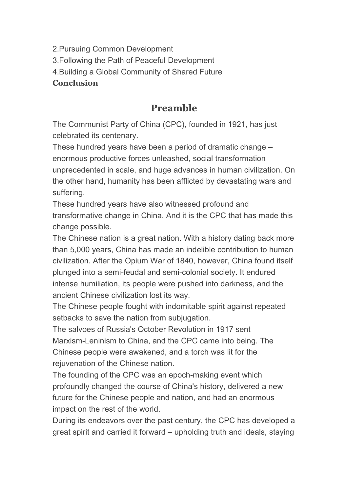2.Pursuing Common Development 3.Following the Path of Peaceful Development 4.Building a Global Community of Shared Future **Conclusion**

# **Preamble**

The Communist Party of China (CPC), founded in 1921, has just celebrated its centenary.

These hundred years have been a period of dramatic change – enormous productive forces unleashed, social transformation unprecedented in scale, and huge advances in human civilization. On the other hand, humanity has been afflicted by devastating wars and suffering.

These hundred years have also witnessed profound and transformative change in China. And it is the CPC that has made this change possible.

The Chinese nation is a great nation. With a history dating back more than 5,000 years, China has made an indelible contribution to human civilization. After the Opium War of 1840, however, China found itself plunged into a semi-feudal and semi-colonial society. It endured intense humiliation, its people were pushed into darkness, and the ancient Chinese civilization lost its way.

The Chinese people fought with indomitable spirit against repeated setbacks to save the nation from subjugation.

The salvoes of Russia's October Revolution in 1917 sent Marxism-Leninism to China, and the CPC came into being. The Chinese people were awakened, and a torch was lit for the rejuvenation of the Chinese nation.

The founding of the CPC was an epoch-making event which profoundly changed the course of China's history, delivered a new future for the Chinese people and nation, and had an enormous impact on the rest of the world.

During its endeavors over the past century, the CPC has developed a great spirit and carried it forward – upholding truth and ideals, staying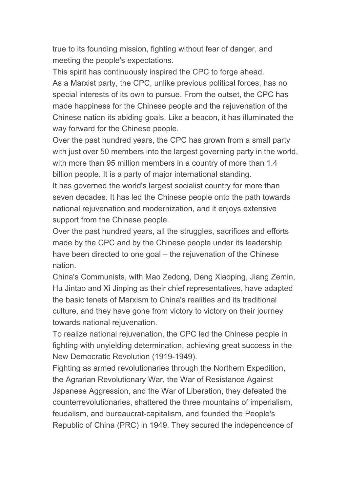true to its founding mission, fighting without fear of danger, and meeting the people's expectations.

This spirit has continuously inspired the CPC to forge ahead. As a Marxist party, the CPC, unlike previous political forces, has no special interests of its own to pursue. From the outset, the CPC has made happiness for the Chinese people and the rejuvenation of the Chinese nation its abiding goals. Like a beacon, it has illuminated the way forward for the Chinese people.

Over the past hundred years, the CPC has grown from a small party with just over 50 members into the largest governing party in the world, with more than 95 million members in a country of more than 1.4 billion people. It is a party of major international standing.

It has governed the world's largest socialist country for more than seven decades. It has led the Chinese people onto the path towards national rejuvenation and modernization, and it enjoys extensive support from the Chinese people.

Over the past hundred years, all the struggles, sacrifices and efforts made by the CPC and by the Chinese people under its leadership have been directed to one goal – the rejuvenation of the Chinese nation.

China's Communists, with Mao Zedong, Deng Xiaoping, Jiang Zemin, Hu Jintao and Xi Jinping as their chief representatives, have adapted the basic tenets of Marxism to China's realities and its traditional culture, and they have gone from victory to victory on their journey towards national rejuvenation.

To realize national rejuvenation, the CPC led the Chinese people in fighting with unyielding determination, achieving great success in the New Democratic Revolution (1919-1949).

Fighting as armed revolutionaries through the Northern Expedition, the Agrarian Revolutionary War, the War of Resistance Against Japanese Aggression, and the War of Liberation, they defeated the counterrevolutionaries, shattered the three mountains of imperialism, feudalism, and bureaucrat-capitalism, and founded the People's Republic of China (PRC) in 1949. They secured the independence of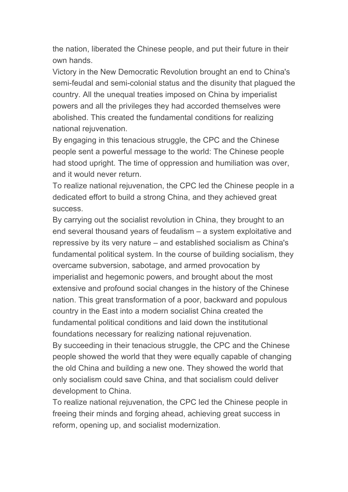the nation, liberated the Chinese people, and put their future in their own hands.

Victory in the New Democratic Revolution brought an end to China's semi-feudal and semi-colonial status and the disunity that plagued the country. All the unequal treaties imposed on China by imperialist powers and all the privileges they had accorded themselves were abolished. This created the fundamental conditions for realizing national rejuvenation.

By engaging in this tenacious struggle, the CPC and the Chinese people sent a powerful message to the world: The Chinese people had stood upright. The time of oppression and humiliation was over, and it would never return.

To realize national rejuvenation, the CPC led the Chinese people in a dedicated effort to build a strong China, and they achieved great success.

By carrying out the socialist revolution in China, they brought to an end several thousand years of feudalism – a system exploitative and repressive by its very nature – and established socialism as China's fundamental political system. In the course of building socialism, they overcame subversion, sabotage, and armed provocation by imperialist and hegemonic powers, and brought about the most extensive and profound social changes in the history of the Chinese nation. This great transformation of a poor, backward and populous country in the East into a modern socialist China created the fundamental political conditions and laid down the institutional foundations necessary for realizing national rejuvenation. By succeeding in their tenacious struggle, the CPC and the Chinese people showed the world that they were equally capable of changing the old China and building a new one. They showed the world that only socialism could save China, and that socialism could deliver development to China.

To realize national rejuvenation, the CPC led the Chinese people in freeing their minds and forging ahead, achieving great success in reform, opening up, and socialist modernization.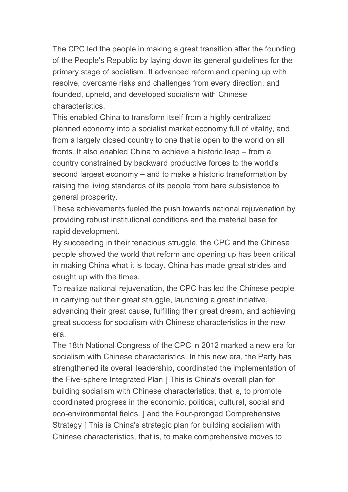The CPC led the people in making a great transition after the founding of the People's Republic by laying down its general guidelines for the primary stage of socialism. It advanced reform and opening up with resolve, overcame risks and challenges from every direction, and founded, upheld, and developed socialism with Chinese characteristics.

This enabled China to transform itself from a highly centralized planned economy into a socialist market economy full of vitality, and from a largely closed country to one that is open to the world on all fronts. It also enabled China to achieve a historic leap – from a country constrained by backward productive forces to the world's second largest economy – and to make a historic transformation by raising the living standards of its people from bare subsistence to general prosperity.

These achievements fueled the push towards national rejuvenation by providing robust institutional conditions and the material base for rapid development.

By succeeding in their tenacious struggle, the CPC and the Chinese people showed the world that reform and opening up has been critical in making China what it is today. China has made great strides and caught up with the times.

To realize national rejuvenation, the CPC has led the Chinese people in carrying out their great struggle, launching a great initiative, advancing their great cause, fulfilling their great dream, and achieving great success for socialism with Chinese characteristics in the new era.

The 18th National Congress of the CPC in 2012 marked a new era for socialism with Chinese characteristics. In this new era, the Party has strengthened its overall leadership, coordinated the implementation of the Five-sphere Integrated Plan [ This is China's overall plan for building socialism with Chinese characteristics, that is, to promote coordinated progress in the economic, political, cultural, social and eco-environmental fields. ] and the Four-pronged Comprehensive Strategy [ This is China's strategic plan for building socialism with Chinese characteristics, that is, to make comprehensive moves to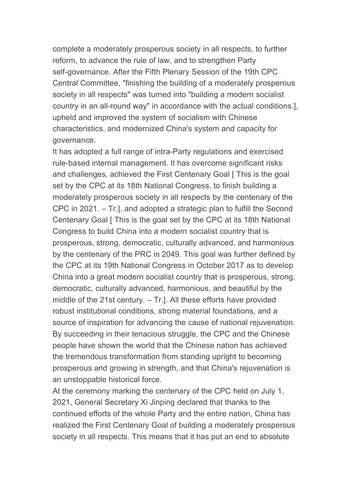complete a moderately prosperous society in all respects, to further reform, to advance the rule of law, and to strengthen Party self-governance. After the Fifth Plenary Session of the 19th CPC Central Committee, "finishing the building of a moderately prosperous society in all respects" was turned into "building a modern socialist country in an all-round way" in accordance with the actual conditions.], upheld and improved the system of socialism with Chinese characteristics, and modernized China's system and capacity for governance.

It has adopted a full range of intra-Party regulations and exercised rule-based internal management. It has overcome significant risks and challenges, achieved the First Centenary Goal [ This is the goal set by the CPC at its 18th National Congress, to finish building a moderately prosperous society in all respects by the centenary of the CPC in 2021. – Tr.], and adopted a strategic plan to fulfill the Second Centenary Goal [ This is the goal set by the CPC at its 18th National Congress to build China into a modern socialist country that is prosperous, strong, democratic, culturally advanced, and harmonious by the centenary of the PRC in 2049. This goal was further defined by the CPC at its 19th National Congress in October 2017 as to develop China into a great modern socialist country that is prosperous, strong, democratic, culturally advanced, harmonious, and beautiful by the middle of the 21st century. – Tr.]. All these efforts have provided robust institutional conditions, strong material foundations, and a source of inspiration for advancing the cause of national rejuvenation. By succeeding in their tenacious struggle, the CPC and the Chinese people have shown the world that the Chinese nation has achieved the tremendous transformation from standing upright to becoming prosperous and growing in strength, and that China's rejuvenation is an unstoppable historical force.

At the ceremony marking the centenary of the CPC held on July 1, 2021, General Secretary Xi Jinping declared that thanks to the continued efforts of the whole Party and the entire nation, China has realized the First Centenary Goal of building a moderately prosperous society in all respects. This means that it has put an end to absolute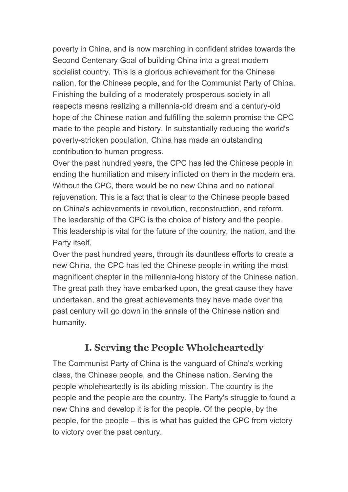poverty in China, and is now marching in confident strides towards the Second Centenary Goal of building China into a great modern socialist country. This is a glorious achievement for the Chinese nation, for the Chinese people, and for the Communist Party of China. Finishing the building of a moderately prosperous society in all respects means realizing a millennia-old dream and a century-old hope of the Chinese nation and fulfilling the solemn promise the CPC made to the people and history. In substantially reducing the world's poverty-stricken population, China has made an outstanding contribution to human progress.

Over the past hundred years, the CPC has led the Chinese people in ending the humiliation and misery inflicted on them in the modern era. Without the CPC, there would be no new China and no national rejuvenation. This is a fact that is clear to the Chinese people based on China's achievements in revolution, reconstruction, and reform. The leadership of the CPC is the choice of history and the people. This leadership is vital for the future of the country, the nation, and the Party itself.

Over the past hundred years, through its dauntless efforts to create a new China, the CPC has led the Chinese people in writing the most magnificent chapter in the millennia-long history of the Chinese nation. The great path they have embarked upon, the great cause they have undertaken, and the great achievements they have made over the past century will go down in the annals of the Chinese nation and humanity.

# **I. Serving the People Wholeheartedly**

The Communist Party of China is the vanguard of China's working class, the Chinese people, and the Chinese nation. Serving the people wholeheartedly is its abiding mission. The country is the people and the people are the country. The Party's struggle to found a new China and develop it is for the people. Of the people, by the people, for the people – this is what has guided the CPC from victory to victory over the past century.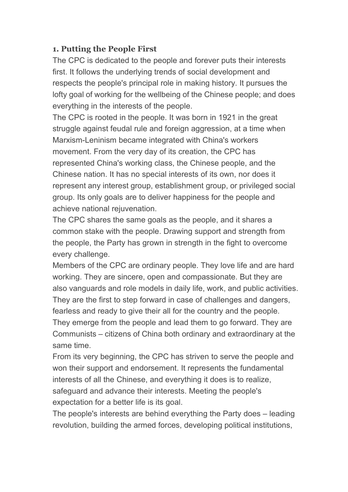#### **1. Putting the People First**

The CPC is dedicated to the people and forever puts their interests first. It follows the underlying trends of social development and respects the people's principal role in making history. It pursues the lofty goal of working for the wellbeing of the Chinese people; and does everything in the interests of the people.

The CPC is rooted in the people. It was born in 1921 in the great struggle against feudal rule and foreign aggression, at a time when Marxism-Leninism became integrated with China's workers movement. From the very day of its creation, the CPC has represented China's working class, the Chinese people, and the Chinese nation. It has no special interests of its own, nor does it represent any interest group, establishment group, or privileged social group. Its only goals are to deliver happiness for the people and achieve national rejuvenation.

The CPC shares the same goals as the people, and it shares a common stake with the people. Drawing support and strength from the people, the Party has grown in strength in the fight to overcome every challenge.

Members of the CPC are ordinary people. They love life and are hard working. They are sincere, open and compassionate. But they are also vanguards and role models in daily life, work, and public activities. They are the first to step forward in case of challenges and dangers, fearless and ready to give their all for the country and the people. They emerge from the people and lead them to go forward. They are Communists – citizens of China both ordinary and extraordinary at the same time.

From its very beginning, the CPC has striven to serve the people and won their support and endorsement. It represents the fundamental interests of all the Chinese, and everything it does is to realize, safeguard and advance their interests. Meeting the people's expectation for a better life is its goal.

The people's interests are behind everything the Party does – leading revolution, building the armed forces, developing political institutions,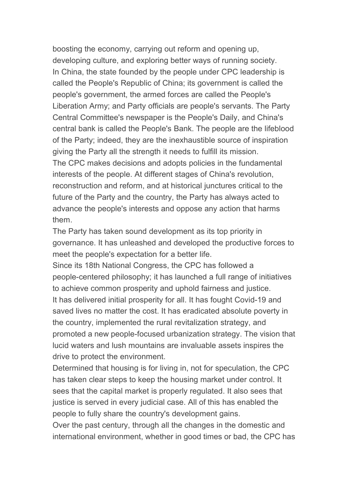boosting the economy, carrying out reform and opening up, developing culture, and exploring better ways of running society. In China, the state founded by the people under CPC leadership is called the People's Republic of China; its government is called the people's government, the armed forces are called the People's Liberation Army; and Party officials are people's servants. The Party Central Committee's newspaper is the People's Daily, and China's central bank is called the People's Bank. The people are the lifeblood of the Party; indeed, they are the inexhaustible source of inspiration giving the Party all the strength it needs to fulfill its mission. The CPC makes decisions and adopts policies in the fundamental interests of the people. At different stages of China's revolution, reconstruction and reform, and at historical junctures critical to the future of the Party and the country, the Party has always acted to advance the people's interests and oppose any action that harms them.

The Party has taken sound development as its top priority in governance. It has unleashed and developed the productive forces to meet the people's expectation for a better life.

Since its 18th National Congress, the CPC has followed a people-centered philosophy; it has launched a full range of initiatives to achieve common prosperity and uphold fairness and justice. It has delivered initial prosperity for all. It has fought Covid-19 and saved lives no matter the cost. It has eradicated absolute poverty in the country, implemented the rural revitalization strategy, and promoted a new people-focused urbanization strategy. The vision that lucid waters and lush mountains are invaluable assets inspires the drive to protect the environment.

Determined that housing is for living in, not for speculation, the CPC has taken clear steps to keep the housing market under control. It sees that the capital market is properly regulated. It also sees that justice is served in every judicial case. All of this has enabled the people to fully share the country's development gains.

Over the past century, through all the changes in the domestic and international environment, whether in good times or bad, the CPC has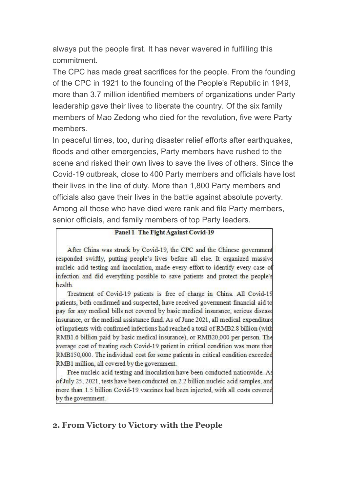always put the people first. It has never wavered in fulfilling this commitment.

The CPC has made great sacrifices for the people. From the founding of the CPC in 1921 to the founding of the People's Republic in 1949, more than 3.7 million identified members of organizations under Party leadership gave their lives to liberate the country. Of the six family members of Mao Zedong who died for the revolution, five were Party members.

In peaceful times, too, during disaster relief efforts after earthquakes, floods and other emergencies, Party members have rushed to the scene and risked their own lives to save the lives of others. Since the Covid-19 outbreak, close to 400 Party members and officials have lost their lives in the line of duty. More than 1,800 Party members and officials also gave their lives in the battle against absolute poverty. Among all those who have died were rank and file Party members, senior officials, and family members of top Party leaders.

#### Panel 1 The Fight Against Covid-19

After China was struck by Covid-19, the CPC and the Chinese government responded swiftly, putting people's lives before all else. It organized massive nucleic acid testing and inoculation, made every effort to identify every case of infection and did everything possible to save patients and protect the people's health.

Treatment of Covid-19 patients is free of charge in China. All Covid-19 patients, both confirmed and suspected, have received government financial aid to pay for any medical bills not covered by basic medical insurance, serious disease insurance, or the medical assistance fund. As of June 2021, all medical expenditure of inpatients with confirmed infections had reached a total of RMB2.8 billion (with RMB1.6 billion paid by basic medical insurance), or RMB20,000 per person. The average cost of treating each Covid-19 patient in critical condition was more than RMB150,000. The individual cost for some patients in critical condition exceeded RMB1 million, all covered by the government.

Free nucleic acid testing and inoculation have been conducted nationwide. As of July 25, 2021, tests have been conducted on 2.2 billion nucleic acid samples, and more than 1.5 billion Covid-19 vaccines had been injected, with all costs covered by the government.

#### **2. From Victory to Victory with the People**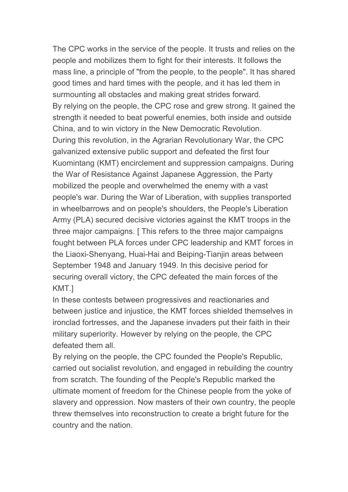The CPC works in the service of the people. It trusts and relies on the people and mobilizes them to fight for their interests. It follows the mass line, a principle of "from the people, to the people". It has shared good times and hard times with the people, and it has led them in surmounting all obstacles and making great strides forward. By relying on the people, the CPC rose and grew strong. It gained the strength it needed to beat powerful enemies, both inside and outside China, and to win victory in the New Democratic Revolution. During this revolution, in the Agrarian Revolutionary War, the CPC galvanized extensive public support and defeated the first four Kuomintang (KMT) encirclement and suppression campaigns. During the War of Resistance Against Japanese Aggression, the Party mobilized the people and overwhelmed the enemy with a vast people's war. During the War of Liberation, with supplies transported in wheelbarrows and on people's shoulders, the People's Liberation Army (PLA) secured decisive victories against the KMT troops in the three major campaigns. [ This refers to the three major campaigns fought between PLA forces under CPC leadership and KMT forces in the Liaoxi-Shenyang, Huai-Hai and Beiping-Tianjin areas between September 1948 and January 1949. In this decisive period for securing overall victory, the CPC defeated the main forces of the KMT.]

In these contests between progressives and reactionaries and between justice and injustice, the KMT forces shielded themselves in ironclad fortresses, and the Japanese invaders put their faith in their military superiority. However by relying on the people, the CPC defeated them all.

By relying on the people, the CPC founded the People's Republic, carried out socialist revolution, and engaged in rebuilding the country from scratch. The founding of the People's Republic marked the ultimate moment of freedom for the Chinese people from the yoke of slavery and oppression. Now masters of their own country, the people threw themselves into reconstruction to create a bright future for the country and the nation.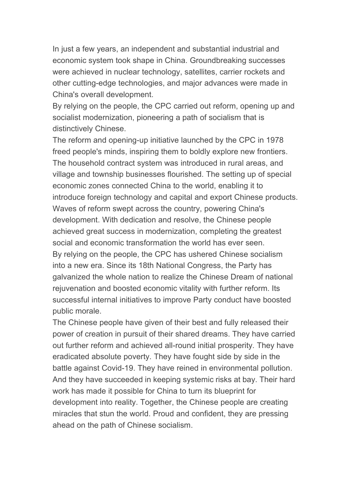In just a few years, an independent and substantial industrial and economic system took shape in China. Groundbreaking successes were achieved in nuclear technology, satellites, carrier rockets and other cutting-edge technologies, and major advances were made in China's overall development.

By relying on the people, the CPC carried out reform, opening up and socialist modernization, pioneering a path of socialism that is

distinctively Chinese.<br>The reform and opening-up initiative launched by the CPC in 1978 freed people's minds, inspiring them to boldly explore new frontiers. The household contract system was introduced in rural areas, and village and township businesses flourished. The setting up of special economic zones connected China to the world, enabling it to introduce foreign technology and capital and export Chinese products. Waves of reform swept across the country, powering China's development. With dedication and resolve, the Chinese people achieved great success in modernization, completing the greatest social and economic transformation the world has ever seen. By relying on the people, the CPC has ushered Chinese socialism into a new era. Since its 18th National Congress, the Party has galvanized the whole nation to realize the Chinese Dream of national rejuvenation and boosted economic vitality with further reform. Its successful internal initiatives to improve Party conduct have boosted public morale.

The Chinese people have given of their best and fully released their power of creation in pursuit of their shared dreams. They have carried out further reform and achieved all-round initial prosperity. They have eradicated absolute poverty. They have fought side by side in the battle against Covid-19. They have reined in environmental pollution. And they have succeeded in keeping systemic risks at bay. Their hard work has made it possible for China to turn its blueprint for development into reality. Together, the Chinese people are creating miracles that stun the world. Proud and confident, they are pressing ahead on the path of Chinese socialism.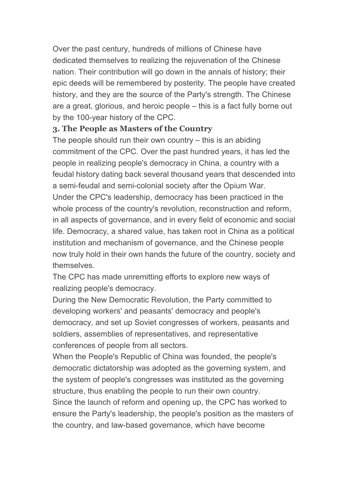Over the past century, hundreds of millions of Chinese have dedicated themselves to realizing the rejuvenation of the Chinese nation. Their contribution will go down in the annals of history; their epic deeds will be remembered by posterity. The people have created history, and they are the source of the Party's strength. The Chinese are a great, glorious, and heroic people – this is a fact fully borne out by the 100-year history of the CPC.

#### **3. The People as Masters of the Country**

The people should run their own country  $-$  this is an abiding commitment of the CPC. Over the past hundred years, it has led the people in realizing people's democracy in China, a country with a feudal history dating back several thousand years that descended into a semi-feudal and semi-colonial society after the Opium War. Under the CPC's leadership, democracy has been practiced in the whole process of the country's revolution, reconstruction and reform, in all aspects of governance, and in every field of economic and social life. Democracy, a shared value, has taken root in China as a political institution and mechanism of governance, and the Chinese people now truly hold in their own hands the future of the country, society and themselves.

The CPC has made unremitting efforts to explore new ways of realizing people's democracy.

During the New Democratic Revolution, the Party committed to developing workers' and peasants' democracy and people's democracy, and set up Soviet congresses of workers, peasants and soldiers, assemblies of representatives, and representative conferences of people from all sectors.

When the People's Republic of China was founded, the people's democratic dictatorship was adopted as the governing system, and the system of people's congresses was instituted as the governing structure, thus enabling the people to run their own country.

Since the launch of reform and opening up, the CPC has worked to ensure the Party's leadership, the people's position as the masters of the country, and law-based governance, which have become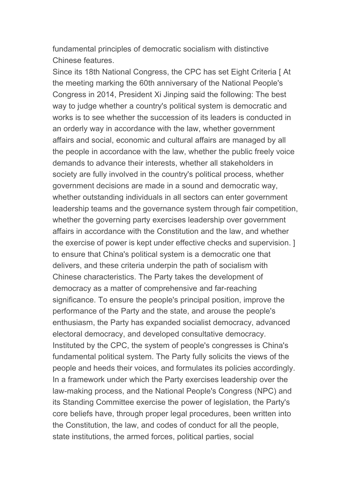fundamental principles of democratic socialism with distinctive Chinese features.

Since its 18th National Congress, the CPC has set Eight Criteria [At] the meeting marking the 60th anniversary of the National People's Congress in 2014, President Xi Jinping said the following: The best way to judge whether a country's political system is democratic and works is to see whether the succession of its leaders is conducted in an orderly way in accordance with the law, whether government affairs and social, economic and cultural affairs are managed by all the people in accordance with the law, whether the public freely voice demands to advance their interests, whether all stakeholders in society are fully involved in the country's political process, whether government decisions are made in a sound and democratic way, whether outstanding individuals in all sectors can enter government leadership teams and the governance system through fair competition, whether the governing party exercises leadership over government affairs in accordance with the Constitution and the law, and whether the exercise of power is kept under effective checks and supervision. ] to ensure thatChina's political system is a democratic one that delivers, and these criteria underpin the path of socialism with Chinese characteristics. The Party takes the development of democracy as a matter of comprehensive and far-reaching significance. To ensure the people's principal position, improve the performance of the Party and the state, and arouse the people's enthusiasm, the Party has expanded socialist democracy, advanced electoral democracy, and developed consultative democracy. Instituted by the CPC, the system of people's congresses is China's fundamental political system. The Party fully solicits the views of the people and heeds their voices, and formulates its policies accordingly. In a framework under which the Party exercises leadership over the law-making process, and the National People's Congress (NPC) and its Standing Committee exercise the power of legislation, the Party's core beliefs have, through proper legal procedures, been written into the Constitution, the law, and codes of conduct for all the people, state institutions, the armed forces, political parties, social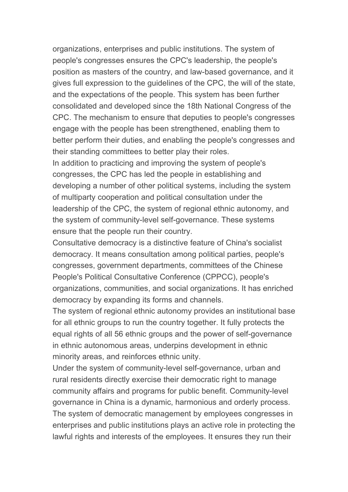organizations, enterprises and public institutions. The system of people's congresses ensures the CPC's leadership, the people's position as masters of the country, and law-based governance, and it gives full expression to the guidelines of the CPC, the will of the state, and the expectations of the people. This system has been further consolidated and developed since the 18th National Congress of the CPC. The mechanism to ensure that deputies to people's congresses engage with the people has been strengthened, enabling them to better perform their duties, and enabling the people's congresses and their standing committees to better play their roles.

In addition to practicing and improving the system of people's congresses, the CPC has led the people in establishing and developing a number of other political systems, including the system of multiparty cooperation and political consultation under the leadership of the CPC, the system of regional ethnic autonomy, and the system of community-level self-governance. These systems ensure that the people run their country.

Consultative democracy is a distinctive feature of China's socialist democracy. It means consultation among political parties, people's congresses, government departments, committees of the Chinese People's Political Consultative Conference (CPPCC), people's organizations, communities, and social organizations. It has enriched democracy by expanding its forms and channels.

The system of regional ethnic autonomy provides an institutional base for all ethnic groups to run the country together. It fully protects the equal rights of all 56 ethnic groups and the power of self-governance in ethnic autonomous areas, underpins development in ethnic minority areas, and reinforces ethnic unity.

Under the system of community-level self-governance, urban and rural residents directly exercise their democratic right to manage community affairs and programs for public benefit. Community-level governance in China is a dynamic, harmonious and orderly process. The system of democratic management by employees congresses in enterprises and public institutions plays an active role in protecting the lawful rights and interests of the employees. It ensures they run their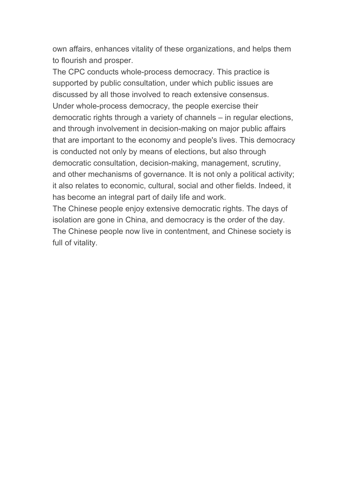own affairs, enhances vitality of these organizations, and helps them to flourish and prosper.

The CPC conducts whole-process democracy. This practice is supported by public consultation, under which public issues are discussed by all those involved to reach extensive consensus.<br>Under whole-process democracy, the people exercise their democratic rights through a variety of channels – in regular elections, and through involvement in decision-making on major public affairs that are important to the economy and people's lives. This democracy is conducted not only by means of elections, but also through democratic consultation, decision-making, management, scrutiny, and other mechanisms of governance. It is not only a political activity; it also relates to economic, cultural, social and other fields. Indeed, it has become an integral part of daily life and work.

The Chinese people enjoy extensive democratic rights. The days of isolation are gone in China, and democracy is the order of the day. The Chinese people now live in contentment, and Chinese society is full of vitality.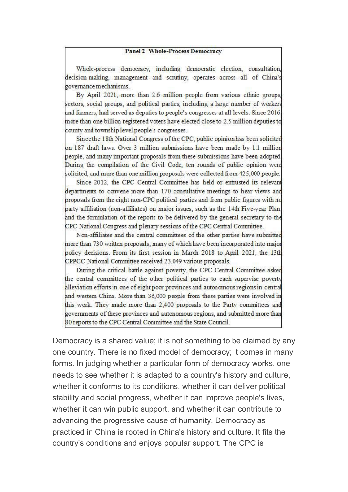#### **Panel 2 Whole-Process Democracy**

Whole-process democracy, including democratic election, consultation, decision-making, management and scrutiny, operates across all of China's governance mechanisms.

By April 2021, more than 2.6 million people from various ethnic groups, sectors, social groups, and political parties, including a large number of workers and farmers, had served as deputies to people's congresses at all levels. Since 2016, more than one billion registered voters have elected close to 2.5 million deputies to county and township level people's congresses.

Since the 18th National Congress of the CPC, public opinion has been solicited on 187 draft laws. Over 3 million submissions have been made by 1.1 million people, and many important proposals from these submissions have been adopted. During the compilation of the Civil Code, ten rounds of public opinion were solicited, and more than one million proposals were collected from 425,000 people.

Since 2012, the CPC Central Committee has held or entrusted its relevant departments to convene more than 170 consultative meetings to hear views and proposals from the eight non-CPC political parties and from public figures with no party affiliation (non-affiliates) on major issues, such as the 14th Five-year Plan, and the formulation of the reports to be delivered by the general secretary to the CPC National Congress and plenary sessions of the CPC Central Committee.

Non-affiliates and the central committees of the other parties have submitted more than 730 written proposals, many of which have been incorporated into major policy decisions. From its first session in March 2018 to April 2021, the 13th CPPCC National Committee received 23,049 various proposals.

During the critical battle against poverty, the CPC Central Committee asked the central committees of the other political parties to each supervise poverty alleviation efforts in one of eight poor provinces and autonomous regions in central and westem China. More than 36,000 people from these parties were involved in this work. They made more than 2,400 proposals to the Party committees and governments of these provinces and autonomous regions, and submitted more than 80 reports to the CPC Central Committee and the State Council.

Democracy is a shared value; it is not something to be claimed by any one country. There is no fixed model of democracy; it comes in many forms. In judging whether a particular form of democracy works, one needs to see whether it is adapted to a country's history and culture, whether it conforms to its conditions, whether it can deliver political stability and social progress, whether it can improve people's lives, whether it can win public support, and whether it can contribute to advancing the progressive cause of humanity. Democracy as practiced in China is rooted in China's history and culture. It fits the country's conditions and enjoys popular support. The CPC is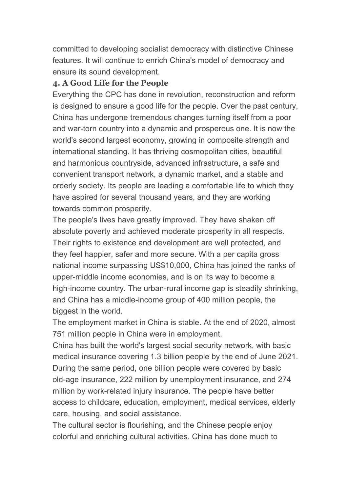committed to developing socialist democracy with distinctive Chinese features. It will continue to enrich China's model of democracy and ensure its sound development.

#### **4. A Good Life for the People**

Everything the CPC has done in revolution, reconstruction and reform is designed to ensure a good life for the people. Over the past century, China has undergone tremendous changes turning itself from a poor and war-torn country into a dynamic and prosperous one. It is now the world's second largest economy, growing in composite strength and international standing. It has thriving cosmopolitan cities, beautiful and harmonious countryside, advanced infrastructure, a safe and convenient transport network, a dynamic market, and a stable and orderly society. Its people are leading a comfortable life to which they have aspired for several thousand years, and they are working towards common prosperity.

The people's lives have greatly improved. They have shaken off absolute poverty and achieved moderate prosperity in all respects. Their rights to existence and development are well protected, and they feel happier, safer and more secure. With a per capita gross national income surpassing US\$10,000, China has joined the ranks of upper-middle income economies, and is on its way to become a high-income country. The urban-rural income gap is steadily shrinking, and China has a middle-income group of 400 million people, the biggest in the world.

The employment market in China is stable. At the end of 2020, almost 751 million people in China were in employment.

China has built the world's largest social security network, with basic medical insurance covering 1.3 billion people by the end of June 2021. During the same period, one billion people were covered by basic old-age insurance, 222 million by unemployment insurance, and 274 million by work-related injury insurance. The people have better access to childcare, education, employment, medical services, elderly care, housing, and social assistance.

The cultural sector is flourishing, and the Chinese people enjoy colorful and enriching cultural activities. China has done much to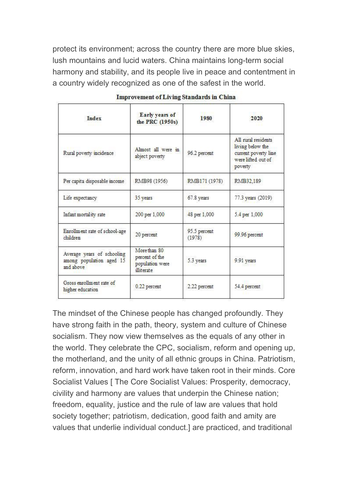protect its environment; across the country there are more blue skies, lush mountains and lucid waters. China maintains long-term social harmony and stability, and its people live in peace and contentment in a country widely recognized as one of the safest in the world.

| Index                                                               | Early years of<br>the PRC (1950s)                               | 1980                   | 2020                                                                                             |
|---------------------------------------------------------------------|-----------------------------------------------------------------|------------------------|--------------------------------------------------------------------------------------------------|
| Rural poverty incidence                                             | Almost all were in<br>abject poverty                            | 96.2 percent           | All rural residents<br>living below the<br>current poverty line<br>were lifted out of<br>poverty |
| Per capita disposable income                                        | RMB98 (1956)                                                    | RMB171 (1978)          | RMB32,189                                                                                        |
| Life expectancy                                                     | 35 years                                                        | 67.8 years             | 77.3 years (2019)                                                                                |
| Infant mortality rate                                               | 200 per 1,000                                                   | 48 per 1,000           | 5.4 per 1,000                                                                                    |
| Enrollment rate of school-age<br>children                           | 20 percent                                                      | 95.5 percent<br>(1978) | 99.96 percent                                                                                    |
| Average years of schooling<br>among population aged 15<br>and above | More than 80<br>percent of the<br>population were<br>illiterate | 5.3 years              | 9.91 years                                                                                       |
| Gross enrollment rate of<br>higher education                        | 0.22 percent                                                    | 2.22 percent           | 54.4 percent                                                                                     |

| <b>Improvement of Living Standards in China</b> |  |  |
|-------------------------------------------------|--|--|
|                                                 |  |  |

The mindset of the Chinese people has changed profoundly.They have strong faith in the path, theory, system and culture of Chinese socialism. They now view themselves as the equals of any other in the world. They celebrate the CPC, socialism, reform and opening up, the motherland, and the unity of all ethnic groups in China. Patriotism, reform, innovation, and hard work have taken root in their minds. Core Socialist Values [ The Core Socialist Values: Prosperity, democracy, civility and harmony are values that underpin the Chinese nation; freedom, equality, justice and the rule of law are values that hold society together; patriotism, dedication, good faith and amity are values that underlie individual conduct.] are practiced, and traditional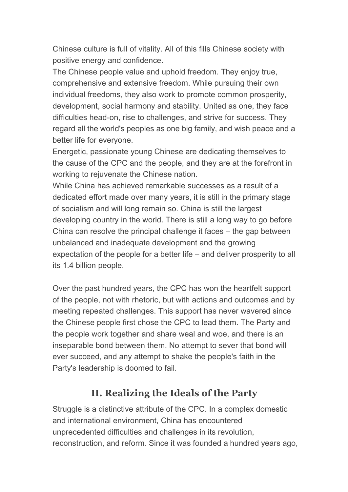Chinese culture is full of vitality. All of this fills Chinese society with positive energy and confidence.

The Chinese people value and uphold freedom. They enjoy true, comprehensive and extensive freedom. While pursuing their own individual freedoms, they also work to promote common prosperity, development, social harmony and stability. United as one, they face difficulties head-on, rise to challenges, and strive for success. They regard all the world's peoples as one big family, and wish peace and a better life for everyone.

Energetic, passionate young Chinese are dedicating themselves to the cause of the CPC and the people, and they are at the forefront in working to rejuvenate the Chinese nation.

While China has achieved remarkable successes as a result of a dedicated effort made over many years, it is still in the primary stage of socialism and will long remain so. China is still the largest developing country in the world. There is still a long way to go before China can resolve the principal challenge it faces – the gap between unbalanced and inadequate development and the growing expectation of the people for a better life – and deliver prosperity to all its 1.4 billion people.

Over the past hundred years, the CPC has won the heartfelt support of the people, not with rhetoric, but with actions and outcomes and by meeting repeated challenges. This support has never wavered since the Chinese people first chose the CPC to lead them. The Party and the people work together and share weal and woe, and there is an inseparable bond between them. No attempt to sever that bond will ever succeed, and any attempt to shake the people's faith in the Party's leadership is doomed to fail.

# **II. Realizing the Ideals of the Party**

Struggle is a distinctive attribute of the CPC. In a complex domestic and international environment, China has encountered unprecedented difficulties and challenges in its revolution, reconstruction, and reform. Since it was founded a hundred years ago,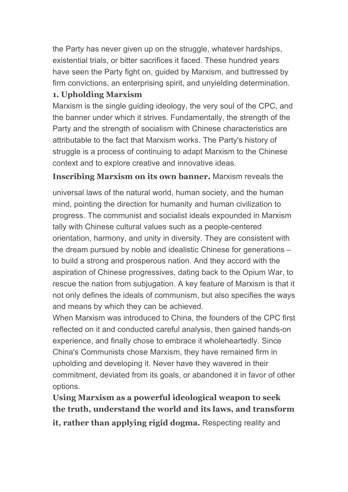the Party has never given up on the struggle, whatever hardships, existential trials, or bitter sacrifices it faced. These hundred years have seen the Party fight on, guided by Marxism, and buttressed by firm convictions, an enterprising spirit, and unyielding determination.

#### **1. Upholding Marxism**

Marxism is the single guiding ideology, the very soul of the CPC, and the banner under which it strives. Fundamentally, the strength of the Party and the strength of socialism with Chinese characteristics are attributable to the fact that Marxism works. The Party's history of struggle is a process of continuing to adapt Marxism to the Chinese context and to explore creative and innovative ideas.

#### **Inscribing Marxism on its own banner.** Marxism reveals the

universal laws of the natural world, human society, and the human mind, pointing the direction for humanity and human civilization to progress. The communist and socialist ideals expounded in Marxism tally with Chinese cultural values such as a people-centered orientation, harmony, and unity in diversity. They are consistent with the dream pursued by noble and idealistic Chinese for generations – to build a strong and prosperous nation. And they accord with the aspiration of Chinese progressives, dating back to the Opium War, to rescue the nation from subjugation. A key feature of Marxism is that it not only defines the ideals of communism, but also specifies the ways and means by which they can be achieved.

When Marxism was introduced to China, the founders of the CPC first reflected on it and conducted careful analysis, then gained hands-on experience, and finally chose to embrace it wholeheartedly. Since China's Communists chose Marxism, they have remained firm in upholding and developing it. Never have they wavered in their commitment, deviated from its goals, or abandoned it in favor of other options.

**Using Marxism as a powerful ideological weapon to seek the truth, understand the world and its laws, and transform it, rather than applying rigid dogma.** Respecting reality and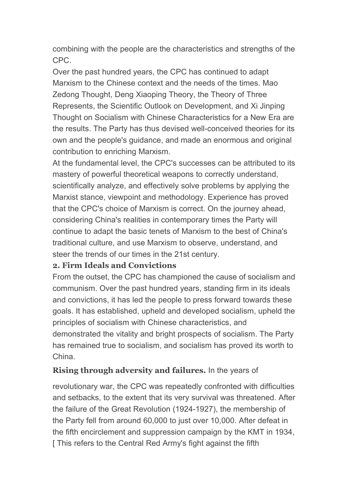combining with the people are the characteristics and strengths of the CPC.

Over the past hundred years, the CPC has continued to adapt Marxism to the Chinese context and the needs of the times. Mao Zedong Thought, Deng Xiaoping Theory, the Theory of Three Represents, the Scientific Outlook on Development, and Xi Jinping Thought on Socialism with Chinese Characteristics for a New Era are the results. The Party has thus devised well-conceived theories for its own and the people's guidance, and made an enormous and original contribution to enriching Marxism.

At the fundamental level, the CPC's successes can be attributed to its mastery of powerful theoretical weapons to correctly understand, scientifically analyze, and effectively solve problems by applying the Marxist stance, viewpoint and methodology. Experience has proved that the CPC's choice of Marxism is correct. On the journey ahead, considering China's realities in contemporary times the Party will continue to adapt the basic tenets of Marxism to the best of China's traditional culture, and use Marxism to observe, understand, and steer the trends of our times in the 21st century.

#### **2. Firm Ideals and Convictions**

From the outset, the CPC has championed the cause of socialism and communism. Over the past hundred years, standing firm in its ideals and convictions, it has led the people to press forward towards these goals. It has established, upheld and developed socialism, upheld the principles of socialism with Chinese characteristics, and demonstrated the vitality and bright prospects of socialism. The Party has remained true to socialism, and socialism has proved its worth to China.

#### **Rising through adversity and failures.** In the years of

revolutionary war, the CPC was repeatedly confronted with difficulties and setbacks, to the extent that its very survival was threatened. After the failure of the Great Revolution (1924-1927), the membership of the Party fell from around 60,000 to just over 10,000. After defeat in the fifth encirclement and suppression campaign by the KMT in 1934, [This refers to the Central Red Army's fight against the fifth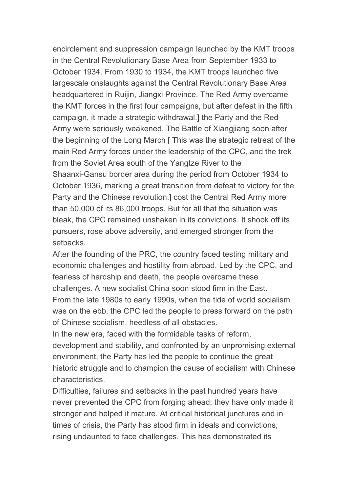encirclement and suppression campaign launched by the KMT troops in the Central Revolutionary Base Area from September 1933 to October 1934. From 1930 to 1934, the KMT troops launched five largescale onslaughts against the Central Revolutionary Base Area headquartered in Ruijin, Jiangxi Province. The Red Army overcame the KMT forces in the first four campaigns, but after defeat in the fifth campaign, it made a strategic withdrawal.] the Party and the Red Army were seriously weakened. The Battle of Xiangjiang soon after the beginning of the Long March [ This was the strategic retreat of the main Red Army forces under the leadership of the CPC, and the trek from the Soviet Area south of the Yangtze River to the Shaanxi-Gansu border area during the period from October 1934 to October 1936, marking a great transition from defeat to victory for the Party and the Chinese revolution.] cost the Central Red Army more than 50,000 of its 86,000 troops. But for all that the situation was bleak, the CPC remained unshaken in its convictions. It shook off its pursuers, rose above adversity, and emerged stronger from the setbacks.

After the founding of the PRC, the country faced testing military and economic challenges and hostility from abroad. Led by the CPC, and fearless of hardship and death, the people overcame these challenges. A new socialist China soon stood firm in the East. From the late 1980s to early 1990s, when the tide of world socialism was on the ebb, the CPC led the people to press forward on the path of Chinese socialism, heedless of all obstacles.

In the new era, faced with the formidable tasks of reform,

development and stability, and confronted by an unpromising external environment, the Party has led the people to continue the great historic struggle and to champion the cause of socialism with Chinese characteristics.

Difficulties, failures and setbacks in the past hundred years have never prevented the CPC from forging ahead; they have only made it stronger and helped it mature. At critical historical junctures and in times of crisis, the Party has stood firm in ideals and convictions, rising undaunted to face challenges. This has demonstrated its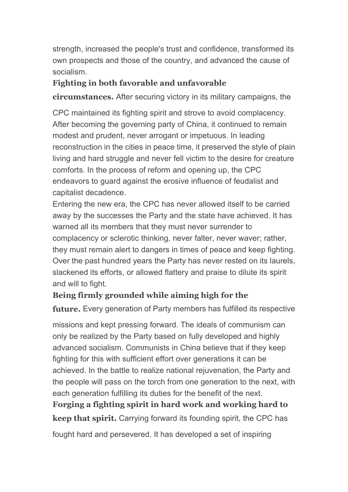strength, increased the people's trust and confidence, transformed its own prospects and those of the country, and advanced the cause of socialism.

#### **Fighting in both favorable and unfavorable**

**circumstances.** After securing victory in its military campaigns, the

CPC maintained its fighting spirit and strove to avoid complacency. After becoming the governing party of China, it continued to remain modest and prudent, never arrogant or impetuous. In leading reconstruction in the cities in peace time, it preserved the style of plain living and hard struggle and never fell victim to the desire for creature comforts. In the process of reform and opening up, the CPC endeavors to guard against the erosive influence of feudalist and capitalist decadence.

Entering the new era, the CPC has never allowed itself to be carried away by the successes the Party and the state have achieved. It has warned all its members that they must never surrender to complacency or sclerotic thinking, never falter, never waver; rather, they must remain alert to dangers in times of peace and keep fighting. Over the past hundred years the Party has never rested on its laurels, slackened its efforts, or allowed flattery and praise to dilute its spirit and will to fight.

## **Being firmly grounded while aiming high for the**

**future.** Every generation of Party members has fulfilled its respective

missions and kept pressing forward. The ideals of communism can only be realized by the Party based on fully developed and highly advanced socialism. Communists in China believe that if they keep fighting for this with sufficient effort over generations it can be achieved. In the battle to realize national rejuvenation, the Party and the people will pass on the torch from one generation to the next, with each generation fulfilling its duties for the benefit of the next. **Forging a fighting spirit in hard work and working hard to keep that spirit.** Carrying forward its founding spirit, the CPC has fought hard and persevered. It has developed a set of inspiring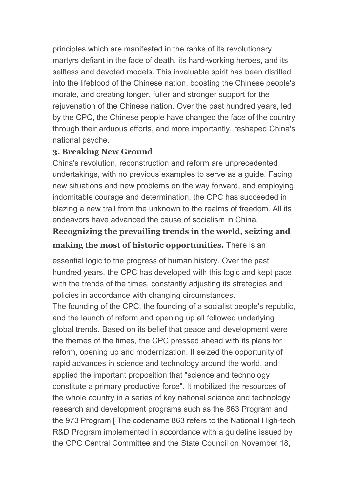principles which are manifested in the ranks of its revolutionary martyrs defiant in the face of death, its hard-working heroes, and its selfless and devoted models. This invaluable spirit has been distilled into the lifeblood of the Chinese nation, boosting the Chinese people's morale, and creating longer, fuller and stronger support for the rejuvenation of the Chinese nation. Over the past hundred years, led by the CPC, the Chinese people have changed the face of the country through their arduous efforts, and more importantly, reshaped China's national psyche.

#### **3. Breaking New Ground**

China's revolution, reconstruction and reform are unprecedented undertakings, with no previous examples to serve as a guide. Facing new situations and new problems on the way forward, and employing indomitable courage and determination, the CPC has succeeded in blazing a new trail from the unknown to the realms of freedom. All its endeavors have advanced the cause of socialism in China.

# **Recognizing the prevailing trends in the world, seizing and making the most of historic opportunities.** There is an

essential logic to the progress of human history. Over the past hundred years, the CPC has developed with this logic and kept pace with the trends of the times, constantly adjusting its strategies and policies in accordance with changing circumstances.

The founding of the CPC, the founding of a socialist people's republic, and the launch of reform and opening up all followed underlying global trends. Based on its belief that peace and development were the themes of the times, the CPC pressed ahead with its plans for reform, opening up and modernization. It seized the opportunity of rapid advances in science and technology around the world, and applied the important proposition that "science and technology constitute a primary productive force". It mobilized the resources of the whole country in a series of key national science and technology research and development programs such as the 863 Program and the 973 Program [ The codename 863 refers to the National High-tech R&D Program implemented in accordance with a guideline issued by the CPC Central Committee and the State Council on November 18,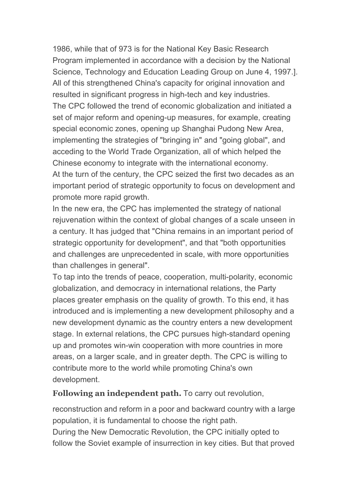1986, while that of 973 is for the National Key Basic Research Program implemented in accordance with a decision by the National Science, Technology and Education Leading Group on June 4, 1997.]. All of this strengthened China's capacity for original innovation and resulted in significant progress in high-tech and key industries. The CPC followed the trend of economic globalization and initiated a set of major reform and opening-up measures, for example, creating special economic zones, opening up Shanghai Pudong New Area, implementing the strategies of "bringing in" and "going global", and acceding to the World Trade Organization, all of which helped the Chinese economy to integrate with the international economy. At the turn of the century, the CPC seized the first two decades as an important period of strategic opportunity to focus on development and promote more rapid growth.

In the new era, the CPC has implemented the strategy of national rejuvenation within the context of global changes of a scale unseen in a century. It has judged that "China remains in an important period of strategic opportunity for development", and that "both opportunities and challenges are unprecedented in scale, with more opportunities than challenges in general".

To tap into the trends of peace, cooperation, multi-polarity, economic globalization, and democracy in international relations, the Party places greater emphasis on the quality of growth. To this end, it has introduced and is implementing a new development philosophy and a new development dynamic as the country enters a new development stage. In external relations, the CPC pursues high-standard opening up and promotes win-win cooperation with more countries in more areas, on a larger scale, and in greater depth. The CPC is willing to contribute more to the world while promoting China's own development.

**Following an independent path.** To carry out revolution,

reconstruction and reform in a poor and backward country with a large population, it is fundamental to choose the right path. During the New Democratic Revolution, the CPC initially opted to follow the Soviet example of insurrection in key cities. But that proved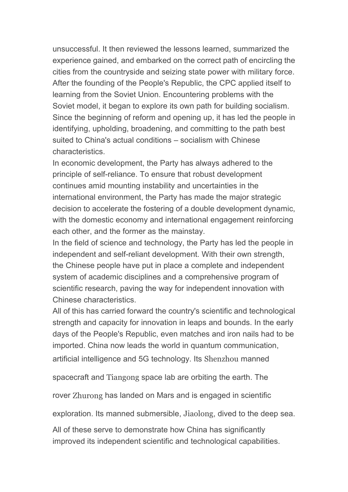unsuccessful. It then reviewed the lessons learned, summarized the experience gained, and embarked on the correct path of encircling the cities from the countryside and seizing state power with military force. After the founding of the People's Republic, the CPC applied itself to learning from the Soviet Union. Encountering problems with the Soviet model, it began to explore its own path for building socialism. Since the beginning of reform and opening up, it has led the people in identifying, upholding, broadening, and committing to the path best suited to China's actual conditions – socialism with Chinese characteristics.

In economic development, the Party has always adhered to the principle of self-reliance. To ensure that robust development continues amid mounting instability and uncertainties in the international environment, the Party has made the major strategic decision to accelerate the fostering of a double development dynamic, with the domestic economy and international engagement reinforcing each other, and the former as the mainstay.

In the field of science and technology, the Party has led the people in independent and self-reliant development. With their own strength, the Chinese people have put in place a complete and independent system of academic disciplines and a comprehensive program of scientific research, paving the way for independent innovation with Chinese characteristics.

All of this has carried forward the country's scientific and technological strength and capacity for innovation in leaps and bounds. In the early days of the People's Republic, even matches and iron nails had to be imported. China now leads the world in quantum communication, artificial intelligence and 5G technology. Its Shenzhou manned

spacecraft and Tiangong space lab are orbiting the earth. The

rover Zhurong has landed on Mars and is engaged in scientific

exploration. Its manned submersible, Jiaolong, dived to the deep sea.

All of these serve to demonstrate how China has significantly improved its independent scientific and technological capabilities.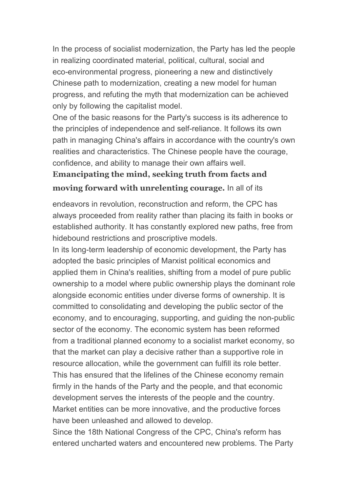In the process of socialist modernization, the Party has led the people in realizing coordinated material, political, cultural, social and eco-environmental progress, pioneering a new and distinctively Chinese path to modernization, creating a new model for human progress, and refuting the myth that modernization can be achieved only by following the capitalist model.

One of the basic reasons for the Party's success is its adherence to the principles of independence and self-reliance. It follows its own path in managing China's affairs in accordance with the country's own realities and characteristics. The Chinese people have the courage, confidence, and ability to manage their own affairs well.

# **Emancipating the mind, seeking truth from facts and moving forward with unrelenting courage.**In all of its

endeavors in revolution, reconstruction and reform, the CPC has always proceeded from reality rather than placing its faith in books or established authority. It has constantly explored new paths, free from hidebound restrictions and proscriptive models.

In its long-term leadership of economic development, the Party has adopted the basic principles of Marxist political economics and applied them in China's realities, shifting from a model of pure public ownership to a model where public ownership plays the dominant role alongside economic entities under diverse forms of ownership. It is committed to consolidating and developing the public sector of the economy, and to encouraging, supporting, and guiding the non-public sector of the economy. The economic system has been reformed from a traditional planned economy to a socialist market economy, so that the market can play a decisive rather than a supportive role in resource allocation, while the government can fulfill its role better. This has ensured that the lifelines of the Chinese economy remain firmly in the hands of the Party and the people, and that economic development serves the interests of the people and the country. Market entities can be more innovative, and the productive forces have been unleashed and allowed to develop.

Since the 18th National Congress of the CPC, China's reform has entered uncharted waters and encountered new problems. The Party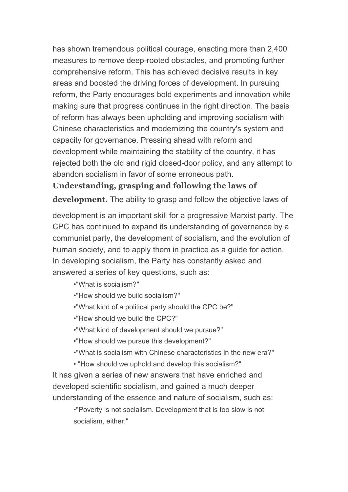has shown tremendous political courage, enacting more than 2,400 measures to remove deep-rooted obstacles, and promoting further comprehensive reform. This has achieved decisive results in key areas and boosted the driving forces of development. In pursuing reform, the Party encourages bold experiments and innovation while making sure that progress continues in the right direction. The basis of reform has always been upholding and improving socialism with Chinese characteristics and modernizing the country's system and capacity for governance. Pressing ahead with reform and development while maintaining the stability of the country, it has rejected both the old and rigid closed-door policy, and any attempt to abandon socialism in favor of some erroneous path.

#### **Understanding, grasping and following the laws of**

**development.** The ability to grasp and follow the objective laws of

development is an important skill for a progressive Marxist party. The CPC has continued to expand its understanding of governance by a communist party, the development of socialism, and the evolution of human society, and to apply them in practice as a guide for action. In developing socialism, the Party has constantly asked and answered a series of key questions, such as:

•"What is socialism?"

- •"How should we build socialism?"
- •"What kind of a political party should the CPC be?"
- •"How should we build the CPC?"
- •"What kind of development should we pursue?"
- •"How should we pursue this development?"
- •"What is socialism with Chinese characteristics in the new era?"
- "How should we uphold and develop this socialism?"

It has given a series of new answers that have enriched and developed scientific socialism, and gained a much deeper understanding of the essence and nature of socialism, such as:

•"Poverty is not socialism. Development that is too slow is not socialism, either."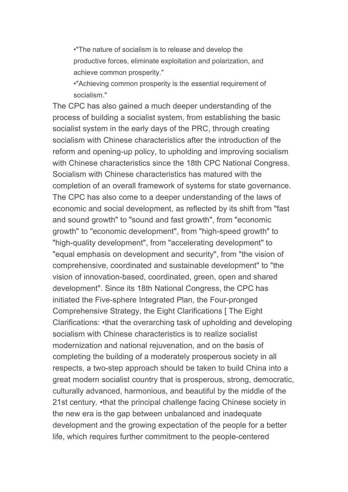•"The nature of socialism is to release and develop the productive forces, eliminate exploitation and polarization, and achieve common prosperity."

•"Achieving common prosperity is the essential requirement of socialism."

The CPC has also gained a much deeper understanding of the process of building a socialist system, from establishing the basic socialist system in the early days of the PRC, through creating socialism with Chinese characteristics after the introduction of the reform and opening-up policy, to upholding and improving socialism with Chinese characteristics since the 18th CPC National Congress. Socialism with Chinese characteristics has matured with the completion of an overall framework of systems for state governance. The CPC has also come to a deeper understanding of the laws of economic and social development, as reflected by its shift from "fast and sound growth" to "sound and fast growth", from "economic growth" to "economic development", from "high-speed growth" to "high-quality development", from "accelerating development" to "equal emphasis on development and security", from "the vision of comprehensive, coordinated and sustainable development" to "the vision of innovation-based, coordinated, green, open and shared development". Since its 18th National Congress, the CPC has initiated the Five-sphere Integrated Plan, the Four-pronged Comprehensive Strategy, the Eight Clarifications [ The Eight Clarifications: •that the overarching task of upholding and developing socialism with Chinese characteristics is to realize socialist modernization and national rejuvenation, and on the basis of completing the building of a moderately prosperous society in all respects, a two-step approach should be taken to build China into a great modern socialist country that is prosperous, strong, democratic, culturally advanced, harmonious, and beautiful by the middle of the 21st century. •that the principal challenge facing Chinese society in the new era is the gap between unbalanced and inadequate development and the growing expectation of the people for a better life, which requires further commitment to the people-centered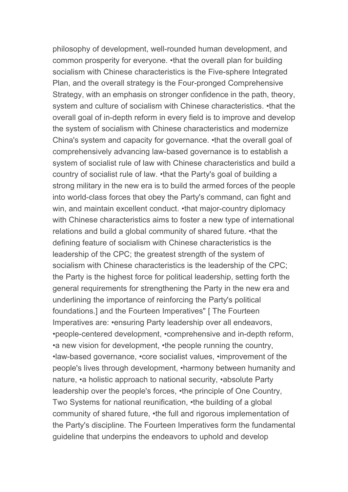philosophy of development, well-rounded human development, and common prosperity for everyone. •that the overall plan for building socialism with Chinese characteristics is the Five-sphere Integrated Plan, and the overall strategy is the Four-pronged Comprehensive Strategy, with an emphasis on stronger confidence in the path, theory, system and culture of socialism with Chinese characteristics. •that the overall goal of in-depth reform in every field is to improve and develop the system of socialism with Chinese characteristics and modernize China's system and capacity for governance. •that the overall goal of comprehensively advancing law-based governance is to establish a system of socialist rule of law with Chinese characteristics and build a country of socialist rule of law. •that the Party's goal of building a strong military in the new era is to build the armed forces of the people into world-class forces that obey the Party's command, can fight and win, and maintain excellent conduct. •that major-country diplomacy with Chinese characteristics aims to foster a new type of international relations and build a global community of shared future. •that the defining feature of socialism with Chinese characteristics is the leadership of the CPC; the greatest strength of the system of socialism with Chinese characteristics is the leadership of the CPC; the Party is the highest force for political leadership, setting forth the general requirements for strengthening the Party in the new era and underlining the importance of reinforcing the Party's political foundations.] and the Fourteen Imperatives" [ The Fourteen Imperatives are: •ensuring Party leadership over all endeavors, •people-centered development, •comprehensive and in-depth reform, •a new vision for development, •the people running the country, •law-based governance, •core socialist values, •improvement of the people's lives through development, •harmony between humanity and nature, •a holistic approach to national security, •absolute Party leadership over the people's forces, •the principle of One Country, Two Systems for national reunification, •the building of a global community of shared future, •the full and rigorous implementation of the Party's discipline. The Fourteen Imperatives form the fundamental guideline that underpins the endeavors to uphold and develop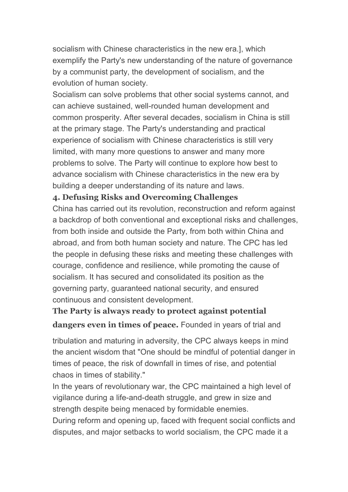socialism with Chinese characteristics in the new era.], which exemplify the Party's new understanding of the nature of governance by a communist party, the development of socialism, and the evolution of human society.

Socialism can solve problems that other social systems cannot, and can achieve sustained, well-rounded human development and common prosperity. After several decades, socialism in China is still at the primary stage. The Party's understanding and practical experience of socialism with Chinese characteristics is still very limited, with many more questions to answer and many more problems to solve. The Party will continue to explore how best to advance socialism with Chinese characteristics in the new era by building a deeper understanding of its nature and laws.

#### **4. Defusing Risks and Overcoming Challenges**

China has carried out its revolution, reconstruction and reform against a backdrop of both conventional and exceptional risks and challenges, from both inside and outside the Party, from both within China and abroad, and from both human society and nature. The CPC has led the people in defusing these risks and meeting these challenges with courage, confidence and resilience, while promoting the cause of socialism. It has secured and consolidated its position as the governing party, guaranteed national security, and ensured continuous and consistent development.

#### **The Party is always ready to protect against potential**

**dangers even in times of peace.** Founded in years of trial and

tribulation and maturing in adversity, the CPC always keeps in mind the ancient wisdom that "One should be mindful of potential danger in times of peace, the risk of downfall in times of rise, and potential chaos in times of stability."

In the years of revolutionary war, the CPC maintained a high level of vigilance during a life-and-death struggle, and grew in size and strength despite being menaced by formidable enemies.

During reform and opening up, faced with frequent social conflicts and disputes, and major setbacks to world socialism, the CPC made it a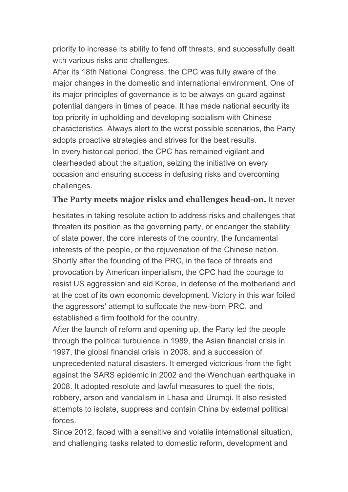priority to increase its ability to fend off threats, and successfully dealt with various risks and challenges.

After its 18th National Congress, the CPC was fully aware of the major changes in the domestic and international environment. One of its major principles of governance is to be always on guard against potential dangers in times of peace. It has made national security its top priority in upholding and developing socialism with Chinese characteristics. Always alert to the worst possible scenarios, the Party adopts proactive strategies and strives for the best results. In every historical period, the CPC has remained vigilant and clearheaded about the situation, seizing the initiative on every occasion and ensuring success in defusing risks and overcoming challenges.

#### **The Party meets major risks and challenges head-on.** It never

hesitates in taking resolute action to address risks and challenges that threaten its position as the governing party, or endanger the stability of state power, the core interests of the country, the fundamental interests of the people, or the rejuvenation of the Chinese nation. Shortly after the founding of the PRC, in the face of threats and provocation by American imperialism, the CPC had the courage to resist US aggression and aid Korea, in defense of the motherland and at the cost of its own economic development. Victory in this war foiled the aggressors' attempt to suffocate the new-born PRC, and established a firm foothold for the country.

After the launch of reform and opening up, the Party led the people through the political turbulence in 1989, the Asian financial crisis in 1997, the global financial crisis in 2008, and a succession of unprecedented natural disasters. It emerged victorious from the fight against the SARS epidemic in 2002 and the Wenchuan earthquake in 2008. It adopted resolute and lawful measures to quell the riots, robbery, arson and vandalism in Lhasa and Urumqi. It also resisted attempts to isolate, suppress and contain China by external political forces.

Since 2012, faced with a sensitive and volatile international situation, and challenging tasks related to domestic reform, development and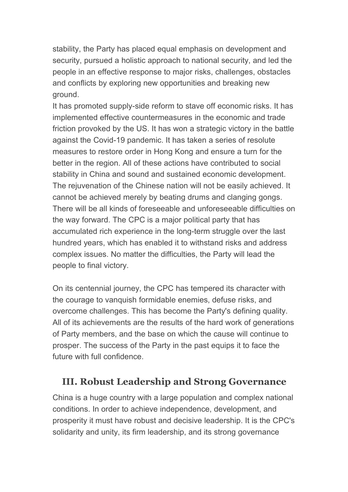stability, the Party has placed equal emphasis on development and security, pursued a holistic approach to national security, and led the people in an effective response to major risks, challenges, obstacles and conflicts by exploring new opportunities and breaking new ground.

It has promoted supply-side reform to stave off economic risks. It has implemented effective countermeasures in the economic and trade friction provoked by the US. It has won a strategic victory in the battle against the Covid-19 pandemic. It has taken a series of resolute measures to restore order in Hong Kong and ensure a turn for the better in the region. All of these actions have contributed to social stability in China and sound and sustained economic development. The rejuvenation of the Chinese nation will not be easily achieved. It cannot be achieved merely by beating drums and clanging gongs. There will be all kinds of foreseeable and unforeseeable difficulties on the way forward. The CPC is a major political party that has accumulated rich experience in the long-term struggle over the last hundred years, which has enabled it to withstand risks and address complex issues. No matter the difficulties, the Party will lead the people to final victory.

On its centennial journey, the CPC has tempered its character with the courage to vanquish formidable enemies, defuse risks, and overcome challenges. This has become the Party's defining quality. All of its achievements are the results of the hard work of generations of Party members, and the base on which the cause will continue to prosper. The success of the Party in the past equips it to face the future with full confidence.

# **III. Robust Leadership and Strong Governance**

China is a huge country with a large population and complex national conditions. In order to achieve independence, development, and prosperity it must have robust and decisive leadership. It is the CPC's solidarity and unity, its firm leadership, and its strong governance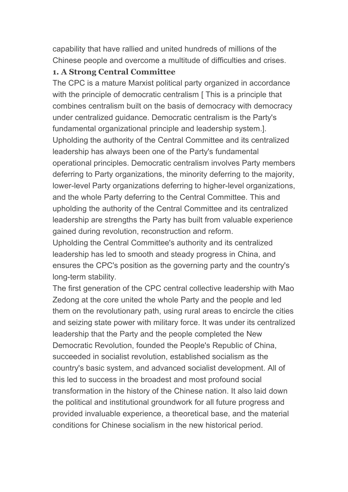capability that have rallied and united hundreds of millions of the Chinese people and overcome a multitude of difficulties and crises.

#### **1. A Strong Central Committee**

The CPC is a mature Marxist political party organized in accordance with the principle of democratic centralism [This is a principle that combines centralism built on the basis of democracy with democracy under centralized guidance. Democratic centralism is the Party's fundamental organizational principle and leadership system.]. Upholding the authority of the Central Committee and its centralized leadership has always been one of the Party's fundamental operational principles. Democratic centralism involves Party members deferring to Party organizations, the minority deferring to the majority, lower-level Party organizations deferring to higher-level organizations, and the whole Party deferring to the Central Committee. This and upholding the authority of the Central Committee and its centralized leadership are strengths the Party has built from valuable experience gained during revolution, reconstruction and reform.

Upholding the Central Committee's authority and its centralized leadership has led to smooth and steady progress in China, and ensures the CPC's position as the governing party and the country's long-term stability.

The first generation of the CPC central collective leadership with Mao Zedong at the core united the whole Party and the people and led them on the revolutionary path, using rural areas to encircle the cities and seizing state power with military force. It was under its centralized leadership that the Party and the people completed the New Democratic Revolution, founded the People's Republic of China, succeeded in socialist revolution, established socialism as the country's basic system, and advanced socialist development. All of this led to success in the broadest and most profound social transformation in the history of the Chinese nation. It also laid down the political and institutional groundwork for all future progress and provided invaluable experience, a theoretical base, and the material conditions for Chinese socialism in the new historical period.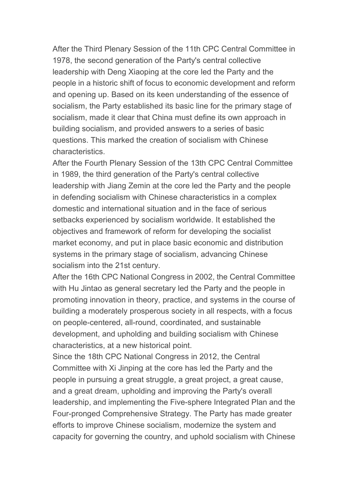After the Third Plenary Session of the 11th CPC Central Committee in 1978, the second generation of the Party's central collective leadership with Deng Xiaoping at the core led the Party and the people in a historic shift of focus to economic development and reform and opening up. Based on its keen understanding of the essence of socialism, the Party established its basic line for the primary stage of socialism, made it clear that China must define its own approach in building socialism, and provided answers to a series of basic questions. This marked the creation of socialism with Chinese characteristics.

After the Fourth Plenary Session of the 13th CPC Central Committee in 1989, the third generation of the Party's central collective leadership with Jiang Zemin at the core led the Party and the people in defending socialism with Chinese characteristics in a complex domestic and international situation and in the face of serious setbacks experienced by socialism worldwide. It established the objectives and framework of reform for developing the socialist market economy, and put in place basic economic and distribution systems in the primary stage of socialism, advancing Chinese socialism into the 21st century.

After the 16th CPC National Congress in 2002, the Central Committee with Hu Jintao as general secretary led the Party and the people in promoting innovation in theory, practice, and systems in the course of building a moderately prosperous society in all respects, with a focus on people-centered, all-round, coordinated, and sustainable development, and upholding and building socialism with Chinese characteristics, at a new historical point.

Since the 18th CPC National Congress in 2012, the Central Committee with Xi Jinping at the core has led the Party and the people in pursuing a great struggle, a great project, a great cause, and a great dream, upholding and improving the Party's overall leadership, and implementing the Five-sphere Integrated Plan and the Four-pronged Comprehensive Strategy. The Party has made greater efforts to improve Chinese socialism, modernize the system and capacity for governing the country, and uphold socialism with Chinese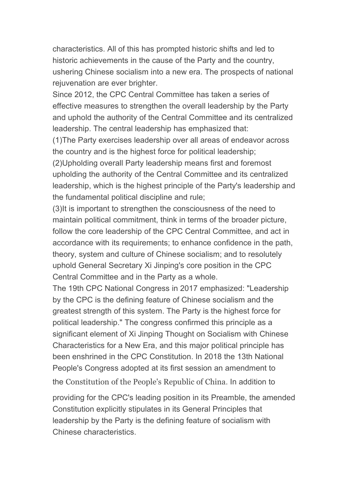characteristics. All of this has prompted historic shifts and led to historic achievements in the cause of the Party and the country, ushering Chinese socialism into a new era. The prospects of national rejuvenation are ever brighter.

Since 2012, the CPC Central Committee has taken a series of effective measures to strengthen the overall leadership by the Party and uphold the authority of the Central Committee and its centralized leadership. The central leadership has emphasized that:

(1)The Party exercises leadership over all areas of endeavor across the country and is the highest force for political leadership;

(2)Upholding overall Party leadership means first and foremost upholding the authority of the Central Committee and its centralized leadership, which is the highest principle of the Party's leadership and the fundamental political discipline and rule;

(3)It is important to strengthen the consciousness of the need to maintain political commitment, think in terms of the broader picture, follow the core leadership of the CPC Central Committee, and act in accordance with its requirements; to enhance confidence in the path, theory, system and culture of Chinese socialism; and to resolutely uphold General Secretary Xi Jinping's core position in the CPC Central Committee and in the Party as a whole.

The 19th CPC National Congress in 2017 emphasized: "Leadership by the CPC is the defining feature of Chinese socialism and the greatest strength of this system. The Party is the highest force for political leadership." The congress confirmed this principle as a significant element of Xi Jinping Thought on Socialism with Chinese Characteristics for a New Era, and this major political principle has been enshrined in the CPC Constitution. In 2018 the 13th National People's Congress adopted at its first session an amendment to

the Constitution of the People's Republic of China. In addition to

providing for the CPC's leading position in its Preamble, the amended Constitution explicitly stipulates in its General Principles that leadership by the Party is the defining feature of socialism with Chinese characteristics.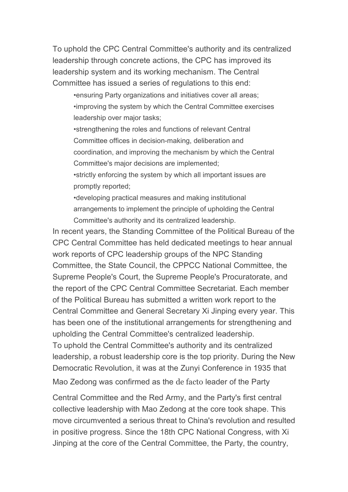To uphold the CPC Central Committee's authority and its centralized leadership through concrete actions, the CPC has improved its leadership system and its working mechanism. The Central Committee has issued a series of regulations to this end:

•ensuring Party organizations and initiatives cover all areas; •improving the system by which the Central Committee exercises leadership over major tasks;

•strengthening the roles and functions of relevant Central Committee offices in decision-making, deliberation and coordination, and improving the mechanism by which the Central Committee's major decisions are implemented;

•strictly enforcing the system by which all important issues are promptly reported;

•developing practical measures and making institutional arrangements to implement the principle of upholding the Central Committee's authority and its centralized leadership.

In recent years, the Standing Committee of the Political Bureau of the CPC Central Committee has held dedicated meetings to hear annual work reports of CPC leadership groups of the NPC Standing Committee, the State Council, the CPPCC National Committee, the Supreme People's Court, the Supreme People's Procuratorate, and the report of the CPC Central Committee Secretariat. Each member of the Political Bureau has submitted a written work report to the Central Committee and General Secretary Xi Jinping every year.This has been one of the institutional arrangements for strengthening and upholding the Central Committee's centralized leadership. To uphold the Central Committee's authority and its centralized

leadership, a robust leadership core is the top priority. During the New Democratic Revolution, it was at the Zunyi Conference in 1935 that

Mao Zedong was confirmed as the de facto leader of the Party

Central Committee and the Red Army, and the Party's first central collective leadership with Mao Zedong at the core took shape. This move circumvented a serious threat to China's revolution and resulted in positive progress. Since the 18th CPC National Congress, with Xi Jinping at the core of the Central Committee, the Party, the country,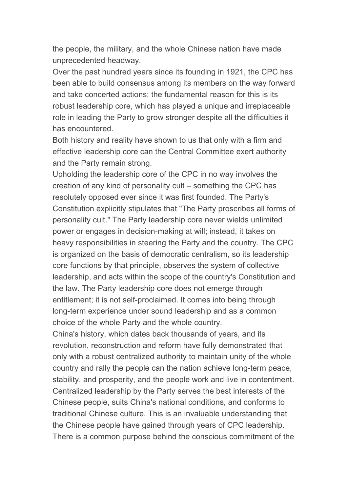the people, the military, and the whole Chinese nation have made unprecedented headway.

Over the past hundred years since its founding in 1921, the CPC has been able to build consensus among its members on the way forward and take concerted actions; the fundamental reason for this is its robust leadership core, which has played a unique and irreplaceable role in leading the Party to grow stronger despite all the difficulties it has encountered.

Both history and reality have shown to us that only with a firm and effective leadership core can the Central Committee exert authority and the Party remain strong.

Upholding the leadership core of the CPC in no way involves the creation of any kind of personality cult – something the CPC has resolutely opposed ever since it was first founded. The Party's Constitution explicitly stipulates that "The Party proscribes all forms of personality cult." The Party leadership core never wields unlimited power or engages in decision-making at will; instead, it takes on heavy responsibilities in steering the Party and the country. The CPC is organized on the basis of democratic centralism, so its leadership core functions by that principle, observes the system of collective leadership, and acts within the scope of the country's Constitution and the law. The Party leadership core does not emerge through entitlement; it is not self-proclaimed. It comes into being through long-term experience under sound leadership and as a common choice of the whole Party and the whole country.

China's history, which dates back thousands of years, and its revolution, reconstruction and reform have fully demonstrated that only with a robust centralized authority to maintain unity of the whole country and rally the people can the nation achieve long-term peace, stability, and prosperity, and the people work and live in contentment. Centralized leadership by the Party serves the best interests of the Chinese people, suits China's national conditions, and conforms to traditional Chinese culture. This is an invaluable understanding that the Chinese people have gained through years of CPC leadership. There is a common purpose behind the conscious commitment of the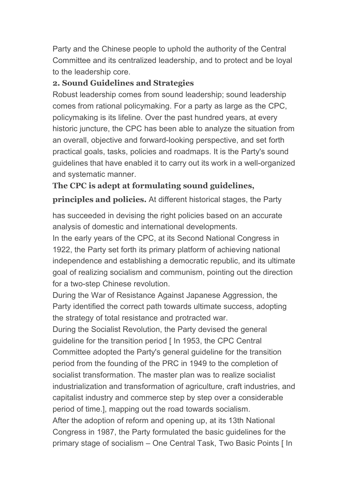Party and the Chinese people to uphold the authority of the Central Committee and its centralized leadership, and to protect and be loyal to the leadership core.

#### **2. Sound Guidelines and Strategies**

Robust leadership comes from sound leadership; sound leadership comes from rational policymaking. For a party as large as the CPC, policymaking is its lifeline. Over the past hundred years, at every historic juncture, the CPC has been able to analyze the situation from an overall, objective and forward-looking perspective, and set forth practical goals, tasks, policies and roadmaps. It is the Party's sound guidelines that have enabled it to carry out its work in a well-organized and systematic manner.

## **The CPC is adept at formulating sound guidelines,**

**principles and policies.** At different historical stages, the Party

has succeeded in devising the right policies based on an accurate analysis of domestic and international developments.

In the early years of the CPC, at its Second National Congress in 1922, the Party set forth its primary platform of achieving national independence and establishing a democratic republic, and its ultimate goal of realizing socialism and communism, pointing out the direction for a two-step Chinese revolution.

During the War of Resistance Against Japanese Aggression, the Party identified the correct path towards ultimate success, adopting the strategy of total resistance and protracted war.

During the Socialist Revolution, the Party devised the general guideline for the transition period [ In 1953, the CPC Central Committee adopted the Party's general guideline for the transition period from the founding of the PRC in 1949 to the completion of socialist transformation. The master plan was to realize socialist industrialization and transformation of agriculture, craft industries, and capitalist industry and commerce step by step over a considerable period of time.], mapping out the road towards socialism. After the adoption of reform and opening up, at its 13th National Congress in 1987, the Party formulated the basic guidelines for the primary stage of socialism – One Central Task, Two Basic Points [ In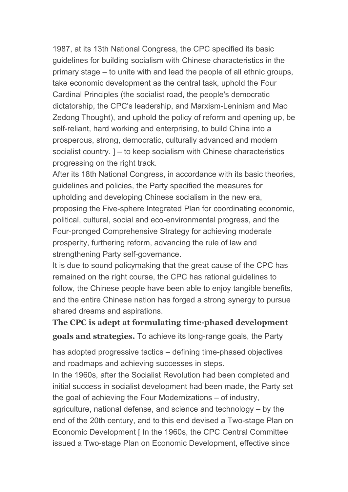1987, at its 13th National Congress, the CPC specified its basic guidelines for building socialism with Chinese characteristics in the primary stage – to unite with and lead the people of all ethnic groups, take economic development as the central task, uphold the Four Cardinal Principles (the socialist road, the people's democratic dictatorship, the CPC's leadership, and Marxism-Leninism and Mao Zedong Thought), and uphold the policy of reform and opening up, be self-reliant, hard working and enterprising, to build China into a prosperous, strong, democratic, culturally advanced and modern socialist country. ] – to keep socialism with Chinese characteristics progressing on the right track.

After its 18th National Congress, in accordance with its basic theories, guidelines and policies, the Party specified the measures for upholding and developing Chinese socialism in the new era, proposing the Five-sphere Integrated Plan for coordinating economic, political, cultural, social and eco-environmental progress, and the Four-pronged Comprehensive Strategy for achieving moderate prosperity, furthering reform, advancing the rule of law and strengthening Party self-governance.

It is due to sound policymaking that the great cause of the CPC has remained on the right course, the CPC has rational guidelines to follow, the Chinese people have been able to enjoy tangible benefits, and the entire Chinese nation has forged a strong synergy to pursue shared dreams and aspirations.

**The CPC is adept at formulating time-phased development goals and strategies.** To achieve its long-range goals, the Party

has adopted progressive tactics – defining time-phased objectives and roadmaps and achieving successes in steps.

In the 1960s, after the Socialist Revolution had been completed and initial success in socialist development had been made, the Party set the goal of achieving the Four Modernizations – of industry, agriculture, national defense, and science and technology – by the end of the 20th century, and to this end devised a Two-stage Plan on Economic Development [ In the 1960s, the CPC Central Committee issued a Two-stage Plan on Economic Development, effective since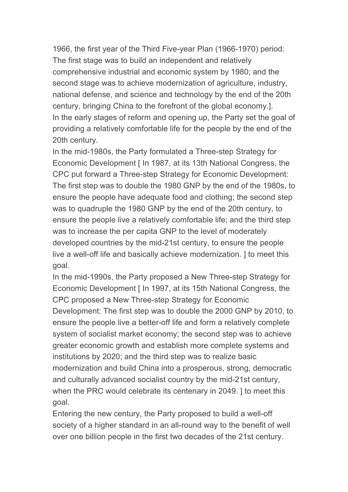1966, the first year of the Third Five-year Plan (1966-1970) period: The first stage was to build an independent and relatively comprehensive industrial and economic system by 1980; and the second stage was to achieve modernization of agriculture, industry, national defense, and science and technology by the end of the 20th century, bringing China to the forefront of the global economy.]. In the early stages of reform and opening up, the Party set the goal of providing a relatively comfortable life for the people by the end of the 20th century.

In the mid-1980s, the Party formulated a Three-step Strategy for Economic Development [ In 1987, at its 13th National Congress, the CPC put forward a Three-step Strategy for Economic Development: The first step was to double the 1980 GNP by the end of the 1980s, to ensure the people have adequate food and clothing; the second step was to quadruple the 1980 GNP by the end of the 20th century, to ensure the people live a relatively comfortable life; and the third step was to increase the per capita GNP to the level of moderately developed countries by the mid-21st century, to ensure the people live a well-off life and basically achieve modernization. ] to meet this goal.

In the mid-1990s, the Party proposed a New Three-step Strategy for Economic Development [ In 1997, at its 15th National Congress, the CPC proposed a New Three-step Strategy for Economic Development: The first step was to double the 2000 GNP by 2010, to ensure the people live a better-off life and form a relatively complete system of socialist market economy; the second step was to achieve greater economic growth and establish more complete systems and institutions by 2020; and the third step was to realize basic modernization and build China into a prosperous, strong, democratic and culturally advanced socialist country by the mid-21st century, when the PRC would celebrate its centenary in 2049. ] to meet this goal.

Entering the new century, the Party proposed to build a well-off society of a higher standard in an all-round way to the benefit of well over one billion people in the first two decades of the 21st century.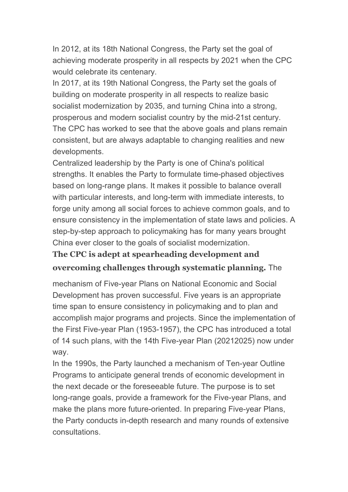In 2012, at its 18th National Congress, the Party set the goal of achieving moderate prosperity in all respects by 2021 when the CPC would celebrate its centenary.

In 2017, at its 19th National Congress, the Party set the goals of building on moderate prosperity in all respects to realize basic socialist modernization by 2035, and turning China into a strong, prosperous and modern socialist country by the mid-21st century. The CPC has worked to see that the above goals and plans remain consistent, but are always adaptable to changing realities and new developments.

Centralized leadership by the Party is one of China's political strengths. It enables the Party to formulate time-phased objectives based on long-range plans. It makes it possible to balance overall with particular interests, and long-term with immediate interests, to forge unity among all social forces to achieve common goals, and to ensure consistency in the implementation of state laws and policies. A step-by-step approach to policymaking has for many years brought China ever closer to the goals of socialist modernization.

#### **The CPC is adept at spearheading development and**

#### **overcoming challenges through systematic planning.** The

mechanism of Five-year Plans on National Economic and Social Development has proven successful. Five years is an appropriate time span to ensure consistency in policymaking and to plan and accomplish major programs and projects. Since the implementation of the First Five-year Plan (1953-1957), the CPC has introduced a total of 14 such plans, with the 14th Five-year Plan (20212025) now under way.

In the 1990s, the Party launched a mechanism of Ten-year Outline Programs to anticipate general trends of economic development in the next decade or the foreseeable future. The purpose is to set long-range goals, provide a framework for the Five-year Plans, and make the plans more future-oriented. In preparing Five-year Plans, the Party conducts in-depth research and many rounds of extensive consultations.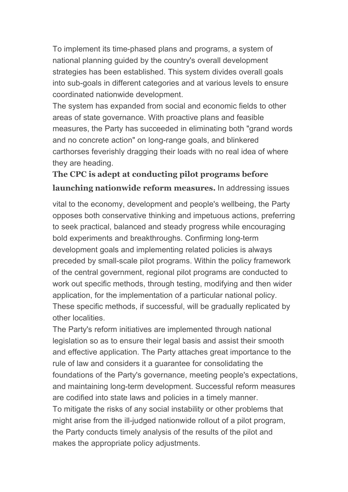To implement its time-phased plans and programs, a system of national planning guided by the country's overall development strategies has been established. This system divides overall goals into sub-goals in different categories and at various levels to ensure coordinated nationwide development.

The system has expanded from social and economic fields to other areas of state governance. With proactive plans and feasible measures, the Party has succeeded in eliminating both "grand words and no concrete action" on long-range goals, and blinkered carthorses feverishly dragging their loads with no real idea of where they are heading.

## **The CPC is adept at conducting pilot programs before launching nationwide reform measures.** In addressing issues

vital to the economy, development and people's wellbeing, the Party opposes both conservative thinking and impetuous actions, preferring to seek practical, balanced and steady progress while encouraging bold experiments and breakthroughs. Confirming long-term development goals and implementing related policies is always preceded by small-scale pilot programs. Within the policy framework of the central government, regional pilot programs are conducted to work out specific methods, through testing, modifying and then wider application, for the implementation of a particular national policy. These specific methods, if successful, will be gradually replicated by other localities.

The Party's reform initiatives are implemented through national legislation so as to ensure their legal basis and assist their smooth and effective application. The Party attaches great importance to the rule of law and considers it a guarantee for consolidating the foundations of the Party's governance, meeting people's expectations, and maintaining long-term development. Successful reform measures are codified into state laws and policies in a timely manner. To mitigate the risks of any social instability or other problems that might arise from the ill-judged nationwide rollout of a pilot program, the Party conducts timely analysis of the results of the pilot and makes the appropriate policy adjustments.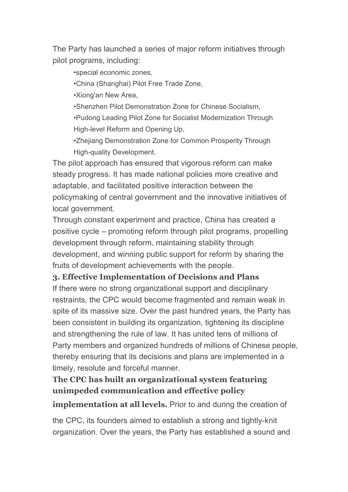The Party has launched a series of major reform initiatives through pilot programs, including:

•special economic zones,

•China (Shanghai) Pilot Free Trade Zone,

•Xiong'an New Area,

•Shenzhen Pilot Demonstration Zone for Chinese Socialism,

•Pudong Leading Pilot Zone for Socialist Modernization Through High-level Reform and Opening Up,

•Zhejiang Demonstration Zone for Common Prosperity Through High-quality Development.

The pilot approach has ensured that vigorous reform can make steady progress. It has made national policies more creative and adaptable, and facilitated positive interaction between the policymaking of central government and the innovative initiatives of local government.

Through constant experiment and practice, China has created a positive cycle – promoting reform through pilot programs, propelling development through reform, maintaining stability through development, and winning public support for reform by sharing the fruits of development achievements with the people.

#### **3. Effective Implementation of Decisions and Plans**

If there were no strong organizational support and disciplinary restraints, the CPC would become fragmented and remain weak in spite of its massive size. Over the past hundred years, the Party has been consistent in building its organization, tightening its discipline and strengthening the rule of law. It has united tens of millions of Party members and organized hundreds of millions of Chinese people, thereby ensuring that its decisions and plans are implemented in a timely, resolute and forceful manner.

## **The CPC has built an organizational system featuring unimpeded communication and effective policy**

**implementation at all levels.** Prior to and during the creation of

the CPC, its founders aimed to establish a strong and tightly-knit organization. Over the years, the Party has established a sound and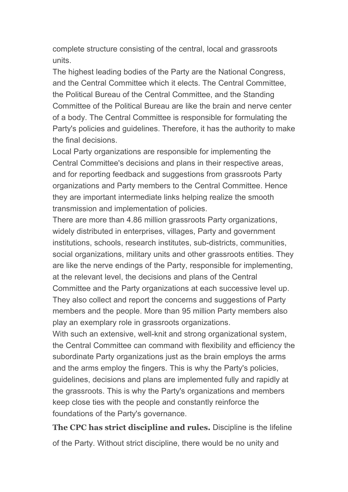complete structure consisting of the central, local and grassroots units.

The highest leading bodies of the Party are the National Congress, and the Central Committee which it elects. The Central Committee, the Political Bureau of the Central Committee, and the Standing Committee of the Political Bureau are like the brain and nerve center of a body. The Central Committee is responsible for formulating the Party's policies and guidelines. Therefore, it has the authority to make the final decisions.

Local Party organizations are responsible for implementing the Central Committee's decisions and plans in their respective areas, and for reporting feedback and suggestions from grassroots Party organizations and Party members to the Central Committee. Hence they are important intermediate links helping realize the smooth transmission and implementation of policies.

There are more than 4.86 million grassroots Party organizations, widely distributed in enterprises, villages, Party and government institutions, schools, research institutes, sub-districts, communities, social organizations, military units and other grassroots entities. They are like the nerve endings of the Party, responsible for implementing, at the relevant level, the decisions and plans of the Central Committee and the Party organizations at each successive level up. They also collect and report the concerns and suggestions of Party members and the people. More than 95 million Party members also

play an exemplary role in grassroots organizations.

With such an extensive, well-knit and strong organizational system, the Central Committee can command with flexibility and efficiency the subordinate Party organizations just as the brain employs the arms and the arms employ the fingers. This is why the Party's policies, guidelines, decisions and plans are implemented fully and rapidly at the grassroots. This is why the Party's organizations and members keep close ties with the people and constantly reinforce the foundations of the Party's governance.

**The CPC has strict discipline and rules.** Discipline is the lifeline of the Party. Without strict discipline, there would be no unity and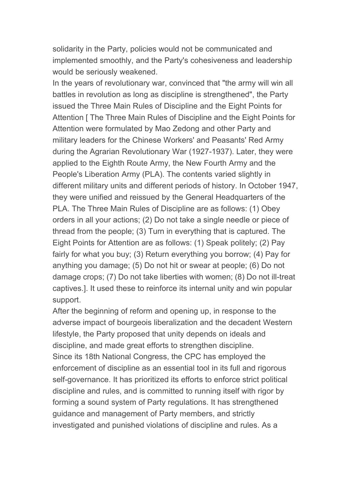solidarity in the Party, policies would not be communicated and implemented smoothly, and the Party's cohesiveness and leadership would be seriously weakened.

In the years of revolutionary war, convinced that "the army will win all battles in revolution as long as discipline is strengthened", the Party issued the Three Main Rules of Discipline and the Eight Points for Attention [ The Three Main Rules of Discipline and the Eight Points for Attention were formulated by Mao Zedong and other Party and military leaders for the Chinese Workers' and Peasants' Red Army during the Agrarian Revolutionary War (1927-1937). Later, they were applied to the Eighth Route Army, the New Fourth Army and the People's Liberation Army (PLA). The contents varied slightly in different military units and different periods of history. In October 1947, they were unified and reissued by the General Headquarters of the PLA. The Three Main Rules of Discipline are as follows: (1) Obey orders in all your actions; (2) Do not take a single needle or piece of thread from the people; (3) Turn in everything that is captured. The Eight Points for Attention are as follows: (1) Speak politely; (2) Pay fairly for what you buy; (3) Return everything you borrow; (4) Pay for anything you damage; (5) Do not hit or swear at people; (6) Do not damage crops; (7) Do not take liberties with women; (8) Do not ill-treat captives.]. It used these to reinforce its internal unity and win popular support.

After the beginning of reform and opening up, in response to the adverse impact of bourgeois liberalization and the decadent Western lifestyle, the Party proposed that unity depends on ideals and discipline, and made great efforts to strengthen discipline. Since its 18th National Congress, the CPC has employed the enforcement of discipline as an essential tool in its full and rigorous self-governance. It has prioritized its efforts to enforce strict political discipline and rules, and is committed to running itself with rigor by forming a sound system of Party regulations. It has strengthened guidance and management of Party members, and strictly investigated and punished violations of discipline and rules. As a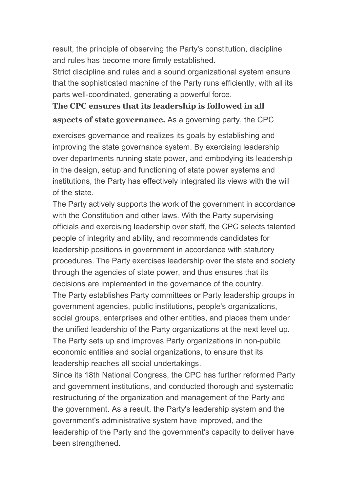result, the principle of observing the Party's constitution, discipline and rules has become more firmly established.

Strict discipline and rules and a sound organizational system ensure that the sophisticated machine of the Party runs efficiently, with all its parts well-coordinated, generating a powerful force.

## **The CPC ensures that its leadership is followed in all aspects of state governance.** As a governing party, the CPC

exercises governance and realizes its goals by establishing and improving the state governance system. By exercising leadership over departments running state power, and embodying its leadership in the design, setup and functioning of state power systems and institutions, the Party has effectively integrated its views with the will of the state.

The Party actively supports the work of the government in accordance with the Constitution and other laws. With the Party supervising officials and exercising leadership over staff, the CPC selects talented people of integrity and ability, and recommends candidates for leadership positions in government in accordance with statutory procedures. The Party exercises leadership over the state and society through the agencies of state power, and thus ensures that its decisions are implemented in the governance of the country. The Party establishes Party committees or Party leadership groups in government agencies, public institutions, people's organizations, social groups, enterprises and other entities, and places them under the unified leadership of the Party organizations at the next level up. The Party sets up and improves Party organizations in non-public economic entities and social organizations, to ensure that its leadership reaches all social undertakings.

Since its 18th National Congress, the CPC has further reformed Party and government institutions, and conducted thorough and systematic restructuring of the organization and management of the Party and the government. As a result, the Party's leadership system and the government's administrative system have improved, and the leadership of the Party and the government's capacity to deliver have been strengthened.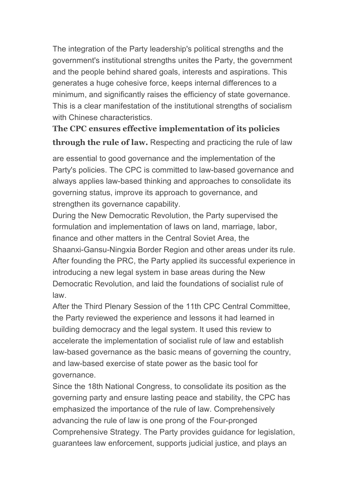The integration of the Party leadership's political strengths and the government's institutional strengths unites the Party, the government and the people behind shared goals, interests and aspirations. This generates a huge cohesive force, keeps internal differences to a minimum, and significantly raises the efficiency of state governance. This is a clear manifestation of the institutional strengths of socialism with Chinese characteristics.

## **The CPC ensures effective implementation of its policies through the rule of law.** Respecting and practicing the rule of law

are essential to good governance and the implementation of the Party's policies. The CPC is committed to law-based governance and always applies law-based thinking and approaches to consolidate its governing status, improve its approach to governance, and strengthen its governance capability.

During the New Democratic Revolution, the Party supervised the formulation and implementation of laws on land, marriage, labor, finance and other matters in the Central Soviet Area, the Shaanxi-Gansu-Ningxia Border Region and other areas under its rule. After founding the PRC, the Party applied its successful experience in introducing a new legal system in base areas during the New Democratic Revolution, and laid the foundations of socialist rule of law.

After the Third Plenary Session of the 11th CPC Central Committee, the Party reviewed the experience and lessons it had learned in building democracy and the legal system. It used this review to accelerate the implementation of socialist rule of law and establish law-based governance as the basic means of governing the country, and law-based exercise of state power as the basic tool for governance.

Since the 18th National Congress, to consolidate its position as the governing party and ensure lasting peace and stability, the CPC has emphasized the importance of the rule of law. Comprehensively advancing the rule of law is one prong of the Four-pronged Comprehensive Strategy. The Party provides guidance for legislation, guarantees law enforcement, supports judicial justice, and plays an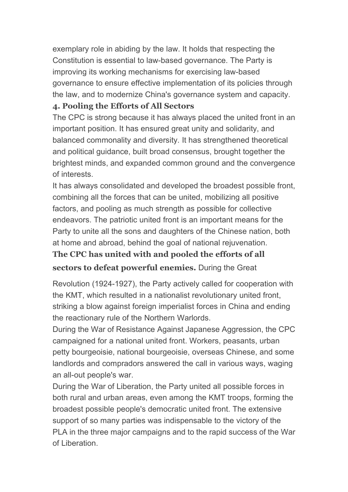exemplary role in abiding by the law. It holds that respecting the Constitution is essential to law-based governance. The Party is improving its working mechanisms for exercising law-based governance to ensure effective implementation of its policies through the law, and to modernize China's governance system and capacity.

#### **4. Pooling the Efforts of All Sectors**

The CPC is strong because it has always placed the united front in an important position. It has ensured great unity and solidarity, and balanced commonality and diversity. It has strengthened theoretical and political guidance, built broad consensus, brought together the brightest minds, and expanded common ground and the convergence of interests.

It has always consolidated and developed the broadest possible front, combining all the forces that can be united, mobilizing all positive factors, and pooling as much strength as possible for collective endeavors. The patriotic united front is an important means for the Party to unite all the sons and daughters of the Chinese nation, both at home and abroad, behind the goal of national rejuvenation.

## **The CPC has united with and pooled the efforts of all**

#### **sectors to defeat powerful enemies.** During the Great

Revolution (1924-1927), the Party actively called for cooperation with the KMT, which resulted in a nationalist revolutionary united front, striking a blow against foreign imperialist forces in China and ending the reactionary rule of the Northern Warlords.

During the War of Resistance Against Japanese Aggression, the CPC campaigned for a national united front. Workers, peasants, urban petty bourgeoisie, national bourgeoisie, overseas Chinese, and some landlords and compradors answered the call in various ways, waging an all-out people's war.

During the War of Liberation, the Party united all possible forces in both rural and urban areas, even among the KMT troops, forming the broadest possible people's democratic united front. The extensive support of so many parties was indispensable to the victory of the PLA in the three major campaigns and to the rapid success of the War of Liberation.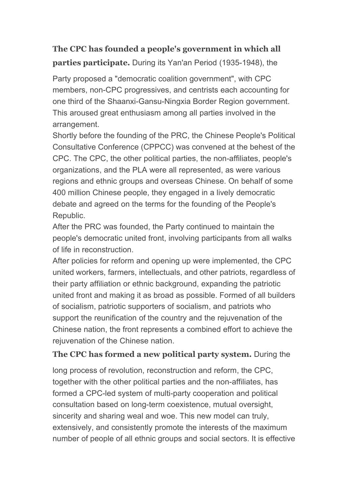# **The CPC has founded a people's government in which all parties participate.** During its Yan'an Period (1935-1948), the

Party proposed a "democratic coalition government", with CPC members, non-CPC progressives, and centrists each accounting for one third of the Shaanxi-Gansu-Ningxia Border Region government. This aroused great enthusiasm among all parties involved in the arrangement.

Shortly before the founding of the PRC, the Chinese People's Political Consultative Conference (CPPCC) was convened at the behest of the CPC. The CPC, the other political parties, the non-affiliates, people's organizations, and the PLA were all represented, as were various regions and ethnic groups and overseas Chinese. On behalf of some 400 million Chinese people, they engaged in a lively democratic debate and agreed on the terms for the founding of the People's Republic.

After the PRC was founded, the Party continued to maintain the people's democratic united front, involving participants from all walks of life in reconstruction.

After policies for reform and opening up were implemented, the CPC united workers, farmers, intellectuals, and other patriots, regardless of their party affiliation or ethnic background, expanding the patriotic united front and making it as broad as possible.Formed of all builders of socialism, patriotic supporters of socialism, and patriots who support the reunification of the country and the rejuvenation of the Chinese nation, the front represents a combined effort to achieve the rejuvenation of the Chinese nation.

#### **The CPC has formed a new political party system.** During the

long process of revolution, reconstruction and reform, the CPC, together with the other political parties and the non-affiliates, has formed a CPC-led system of multi-party cooperation and political consultation based on long-term coexistence, mutual oversight, sincerity and sharing weal and woe. This new model can truly, extensively, and consistently promote the interests of the maximum number of people of all ethnic groups and social sectors. It is effective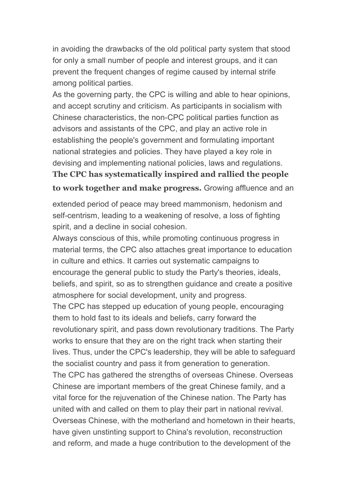in avoiding the drawbacks of the old political party system that stood for only a small number of people and interest groups, and it can prevent the frequent changes of regime caused by internal strife among political parties.

As the governing party, the CPC is willing and able to hear opinions, and accept scrutiny and criticism. As participants in socialism with Chinese characteristics, the non-CPC political parties function as advisors and assistants of the CPC, and play an active role in establishing the people's government and formulating important national strategies and policies. They have played a key role in devising and implementing national policies, laws and regulations. **The CPC has systematically inspired and rallied the people to work together and make progress.** Growing affluence and an

extended period of peace may breed mammonism, hedonism and self-centrism, leading to a weakening of resolve, a loss of fighting spirit, and a decline in social cohesion.

Always conscious of this, while promoting continuous progress in material terms, the CPC also attaches great importance to education in culture and ethics. It carries out systematic campaigns to encourage the general public to study the Party's theories, ideals, beliefs, and spirit, so as to strengthen guidance and create a positive atmosphere for social development, unity and progress. The CPC has stepped up education of young people, encouraging them to hold fast to its ideals and beliefs, carry forward the revolutionary spirit, and pass down revolutionary traditions. The Party works to ensure that they are on the right track when starting their lives. Thus, under the CPC's leadership, they will be able to safeguard the socialist country and pass it from generation to generation.<br>The CPC has gathered the strengths of overseas Chinese. Overseas Chinese are important members of the great Chinese family, and a vital force for the rejuvenation of the Chinese nation. The Party has united with and called on them to play their part in national revival. Overseas Chinese, with the motherland and hometown in their hearts, have given unstinting support to China's revolution, reconstruction and reform, and made a huge contribution to the development of the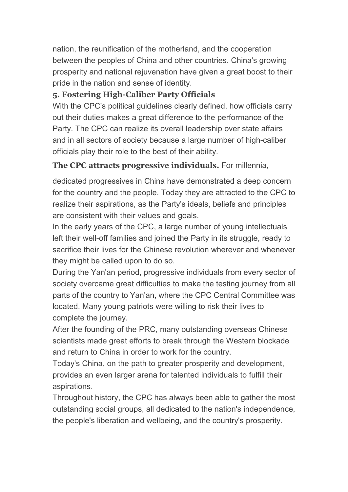nation, the reunification of the motherland, and the cooperation between the peoples of China and other countries. China's growing prosperity and national rejuvenation have given a great boost to their pride in the nation and sense of identity.

## **5. Fostering High-Caliber Party Officials**

With the CPC's political guidelines clearly defined, how officials carry out their duties makes a great difference to the performance of the Party. The CPC can realize its overall leadership over state affairs and in all sectors of society because a large number of high-caliber officials play their role to the best of their ability.

## **The CPC attracts progressive individuals.** For millennia,

dedicated progressives in China have demonstrated a deep concern for the country and the people. Today they are attracted to the CPC to realize their aspirations, as the Party's ideals, beliefs and principles are consistent with their values and goals.

In the early years of the CPC, a large number of young intellectuals left their well-off families and joined the Party in its struggle, ready to sacrifice their lives for the Chinese revolution wherever and whenever they might be called upon to do so.

During the Yan'an period, progressive individuals from every sector of society overcame great difficulties to make the testing journey from all parts of the country to Yan'an, where the CPC Central Committee was located. Many young patriots were willing to risk their lives to complete the journey.

After the founding of the PRC, many outstanding overseas Chinese scientists made great efforts to break through the Western blockade and return to China in order to work for the country.

Today's China, on the path to greater prosperity and development, provides an even larger arena for talented individuals to fulfill their aspirations.

Throughout history, the CPC has always been able to gather the most outstanding social groups, all dedicated to the nation's independence, the people's liberation and wellbeing, and the country's prosperity.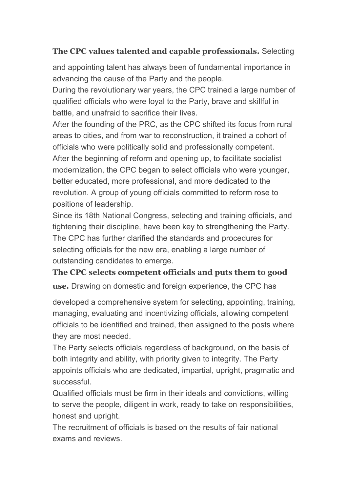#### **The CPC values talented and capable professionals.** Selecting

and appointing talent has always been of fundamental importance in advancing the cause of the Party and the people.

During the revolutionary war years, the CPC trained a large number of qualified officials who were loyal to the Party, brave and skillful in battle, and unafraid to sacrifice their lives.

After the founding of the PRC, as the CPC shifted its focus from rural areas to cities, and from war to reconstruction, it trained a cohort of officials who were politically solid and professionally competent. After the beginning of reform and opening up, to facilitate socialist modernization, the CPC began to select officials who were younger, better educated, more professional, and more dedicated to the revolution. A group of young officials committed to reform rose to positions of leadership.

Since its 18th National Congress, selecting and training officials, and tightening their discipline, have been key to strengthening the Party. The CPC has further clarified the standards and procedures for selecting officials for the new era, enabling a large number of outstanding candidates to emerge.

#### **The CPC selects competent officials and puts them to good**

**use.** Drawing on domestic and foreign experience, the CPC has

developed a comprehensive system for selecting, appointing, training, managing, evaluating and incentivizing officials, allowing competent officials to be identified and trained, then assigned to the posts where they are most needed.

The Party selects officials regardless of background, on the basis of both integrity and ability, with priority given to integrity. The Party appoints officials who are dedicated, impartial, upright, pragmatic and successful.

Qualified officials must be firm in their ideals and convictions, willing to serve the people, diligent in work, ready to take on responsibilities, honest and upright.

The recruitment of officials is based on the results of fair national exams and reviews.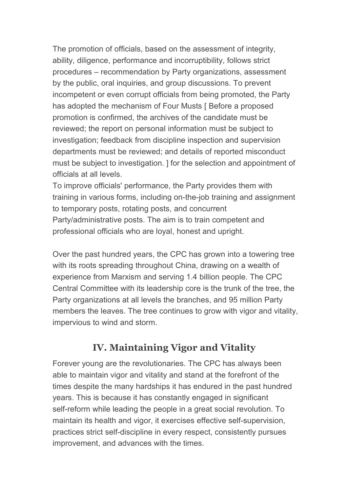The promotion of officials, based on the assessment of integrity, ability, diligence, performance and incorruptibility, follows strict procedures – recommendation by Party organizations, assessment by the public, oral inquiries, and group discussions. To prevent incompetent or even corrupt officials from being promoted, the Party has adopted the mechanism of Four Musts [ Before a proposed promotion is confirmed, the archives of the candidate must be reviewed; the report on personal information must be subject to investigation; feedback from discipline inspection and supervision departments must be reviewed; and details of reported misconduct must be subject to investigation. ] for the selection and appointment of officials at all levels.

To improve officials' performance, the Party provides them with training in various forms, including on-the-job training and assignment to temporary posts, rotating posts, and concurrent Party/administrative posts. The aim is to train competent and professional officials who are loyal, honest and upright.

Over the past hundred years, the CPC has grown into a towering tree with its roots spreading throughout China, drawing on a wealth of experience from Marxism and serving 1.4 billion people. The CPC Central Committee with its leadership core is the trunk of the tree, the Party organizations at all levels the branches, and 95 million Party members the leaves. The tree continues to grow with vigor and vitality, impervious to wind and storm.

# **IV. Maintaining Vigor and Vitality**

Forever young are the revolutionaries. The CPC has always been able to maintain vigor and vitality and stand at the forefront of the times despite the many hardships it has endured in the past hundred years. This is because it has constantly engaged in significant self-reform while leading the people in a great social revolution. To maintain its health and vigor, it exercises effective self-supervision, practices strict self-discipline in every respect, consistently pursues improvement, and advances with the times.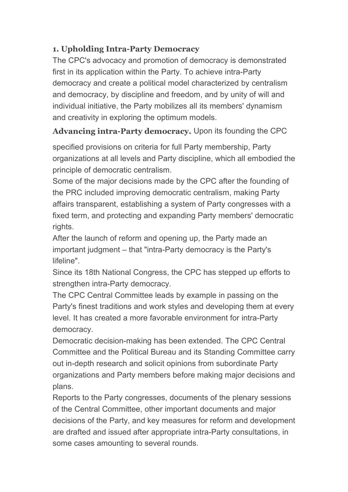#### **1. Upholding Intra-Party Democracy**

The CPC's advocacy and promotion of democracy is demonstrated first in its application within the Party. To achieve intra-Party democracy and create a political model characterized by centralism and democracy, by discipline and freedom, and by unity of will and individual initiative, the Party mobilizes all its members' dynamism and creativity in exploring the optimum models.

## **Advancing intra-Party democracy.** Upon its founding the CPC

specified provisions on criteria for full Party membership, Party organizations at all levels and Party discipline, which all embodied the principle of democratic centralism.

Some of the major decisions made by the CPC after the founding of the PRC included improving democratic centralism, making Party affairs transparent, establishing a system of Party congresses with a fixed term, and protecting and expanding Party members' democratic rights.

After the launch of reform and opening up, the Party made an important judgment – that "intra-Party democracy is the Party's lifeline".

Since its 18th National Congress, the CPC has stepped up efforts to strengthen intra-Party democracy.

The CPC Central Committee leads by example in passing on the Party's finest traditions and work styles and developing them at every level. It has created a more favorable environment for intra-Party democracy.

Democratic decision-making has been extended. The CPC Central Committee and the Political Bureau and its Standing Committee carry out in-depth research and solicit opinions from subordinate Party organizations and Party members before making major decisions and plans.

Reports to the Party congresses, documents of the plenary sessions of the Central Committee, other important documents and major decisions of the Party, and key measures for reform and development are drafted and issued after appropriate intra-Party consultations, in some cases amounting to several rounds.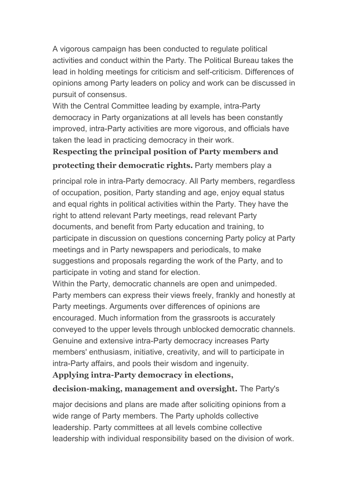A vigorous campaign has been conducted to regulate political activities and conduct within the Party. The Political Bureau takes the lead in holding meetings for criticism and self-criticism. Differences of opinions among Party leaders on policy and work can be discussed in pursuit of consensus.

With the Central Committee leading by example, intra-Party democracy in Party organizations at all levels has been constantly improved, intra-Party activities are more vigorous, and officials have taken the lead in practicing democracy in their work.

# **Respecting the principal position of Party members and protecting their democratic rights.** Party members play a

principal role in intra-Party democracy. All Party members, regardless of occupation, position, Party standing and age, enjoy equal status and equal rights in political activities within the Party. They have the right to attend relevant Party meetings, read relevant Party documents, and benefit from Party education and training, to participate in discussion on questions concerning Party policy at Party meetings and in Party newspapers and periodicals, to make suggestions and proposals regarding the work of the Party, and to participate in voting and stand for election.

Within the Party, democratic channels are open and unimpeded. Party members can express their views freely, frankly and honestly at Party meetings. Arguments over differences of opinions are encouraged. Much information from the grassroots is accurately conveyed to the upper levels through unblocked democratic channels. Genuine and extensive intra-Party democracy increases Party members' enthusiasm, initiative, creativity, and will to participate in intra-Party affairs, and pools their wisdom and ingenuity.

# **Applying intra-Party democracy in elections,**

## **decision-making, management and oversight.** The Party's

major decisions and plans are made after soliciting opinions from a wide range of Party members. The Party upholds collective leadership. Party committees at all levels combine collective leadership with individual responsibility based on the division of work.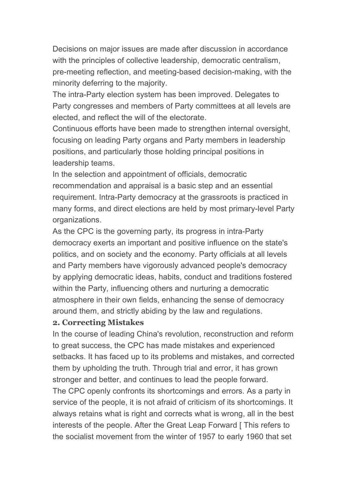Decisions on major issues are made after discussion in accordance with the principles of collective leadership, democratic centralism, pre-meeting reflection, and meeting-based decision-making, with the minority deferring to the majority.

The intra-Party election system has been improved. Delegates to Party congresses and members of Party committees at all levels are elected, and reflect the will of the electorate.

Continuous efforts have been made to strengthen internal oversight, focusing on leading Party organs and Party members in leadership positions, and particularly those holding principal positions in leadership teams.

In the selection and appointment of officials, democratic recommendation and appraisal is a basic step and an essential requirement. Intra-Party democracy at the grassroots is practiced in many forms, and direct elections are held by most primary-level Party organizations.

As the CPC is the governing party, its progress in intra-Party democracy exerts an important and positive influence on the state's politics, and on society and the economy. Party officials at all levels and Party members have vigorously advanced people's democracy by applying democratic ideas, habits, conduct and traditions fostered within the Party, influencing others and nurturing a democratic atmosphere in their own fields, enhancing the sense of democracy around them, and strictly abiding by the law and regulations.

#### **2. Correcting Mistakes**

In the course of leading China's revolution, reconstruction and reform to great success, the CPC has made mistakes and experienced setbacks. It has faced up to its problems and mistakes, and corrected them by upholding the truth. Through trial and error, it has grown stronger and better, and continues to lead the people forward.

The CPC openly confronts its shortcomings and errors. As a party in service of the people, it is not afraid of criticism of its shortcomings. It always retains what is right and corrects what is wrong, all in the best interests of the people. After the Great Leap Forward [ This refers to the socialist movement from the winter of 1957 to early 1960 that set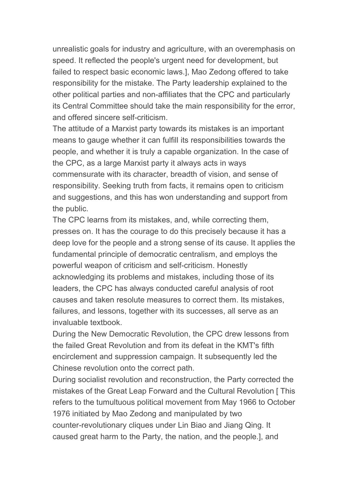unrealistic goals for industry and agriculture, with an overemphasis on speed. It reflected the people's urgent need for development, but failed to respect basic economic laws.], Mao Zedong offered to take responsibility for the mistake. The Party leadership explained to the other political parties and non-affiliates that the CPC and particularly its Central Committee should take the main responsibility for the error, and offered sincere self-criticism.

The attitude of a Marxist party towards its mistakes is an important means to gauge whether it can fulfill its responsibilities towards the people, and whether it is truly a capable organization. In the case of the CPC, as a large Marxist party it always acts in ways commensurate with its character, breadth of vision, and sense of responsibility. Seeking truth from facts, it remains open to criticism and suggestions, and this has won understanding and support from the public.

The CPC learns from its mistakes, and, while correcting them, presses on. It has the courage to do this precisely because it has a deep love for the people and a strong sense of its cause. It applies the fundamental principle of democratic centralism, and employs the powerful weapon of criticism and self-criticism. Honestly acknowledging its problems and mistakes, including those of its leaders, the CPC has always conducted careful analysis of root causes and taken resolute measures to correct them. Its mistakes, failures, and lessons, together with its successes, all serve as an invaluable textbook.

During the New Democratic Revolution, the CPC drew lessons from the failed Great Revolution and from its defeat in the KMT's fifth encirclement and suppression campaign. It subsequently led the Chinese revolution onto the correct path.

During socialist revolution and reconstruction, the Party corrected the mistakes of the Great Leap Forward and the Cultural Revolution [ This refers to the tumultuous political movement from May 1966 to October 1976 initiated by Mao Zedong and manipulated by two counter-revolutionary cliques under Lin Biao and Jiang Qing.It caused great harm to the Party, the nation, and the people.], and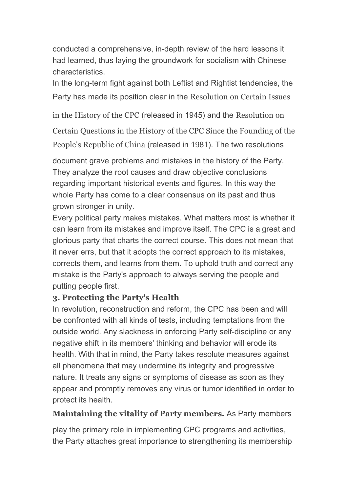conducted a comprehensive, in-depth review of the hard lessons it had learned, thus laying the groundwork for socialism with Chinese characteristics.

In the long-term fight against both Leftist and Rightist tendencies, the Party has made its position clear in the Resolution on Certain Issues

in the History of the CPC (released in 1945) and the Resolution on

Certain Questions in the History of the CPC Since the Founding of the People's Republic of China (released in 1981). The two resolutions

document grave problems and mistakes in the history of the Party. They analyze the root causes and draw objective conclusions regarding important historical events and figures. In this way the whole Party has come to a clear consensus on its past and thus grown stronger in unity.

Every political party makes mistakes. What matters most is whether it can learn from its mistakes and improve itself. The CPC is a great and glorious party that charts the correct course. This does not mean that it never errs, but that it adopts the correct approach to its mistakes, corrects them, and learns from them. To uphold truth and correct any mistake is the Party's approach to always serving the people and putting people first.

#### **3. Protecting the Party's Health**

In revolution, reconstruction and reform, the CPC has been and will be confronted with all kinds of tests, including temptations from the outside world. Any slackness in enforcing Party self-discipline or any negative shift in its members' thinking and behavior will erode its health. With that in mind, the Party takes resolute measures against all phenomena that may undermine its integrity and progressive nature. It treats any signs or symptoms of disease as soon as they appear and promptly removes any virus or tumor identified in order to protect its health.

#### **Maintaining the vitality of Party members.** As Party members

play the primary role in implementing CPC programs and activities, the Party attaches great importance to strengthening its membership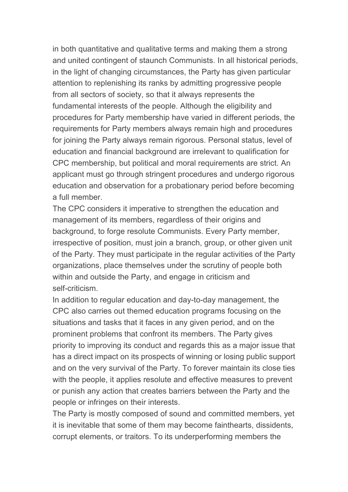in both quantitative and qualitative terms and making them a strong and united contingent of staunch Communists. In all historical periods, in the light of changing circumstances, the Party has given particular attention to replenishing its ranks by admitting progressive people from all sectors of society, so that it always represents the fundamental interests of the people. Although the eligibility and procedures for Party membership have varied in different periods, the requirements for Party members always remain high and procedures for joining the Party always remain rigorous. Personal status, level of education and financial background are irrelevant to qualification for CPC membership, but political and moral requirements are strict. An applicant must go through stringent procedures and undergo rigorous education and observation for a probationary period before becoming a full member.

The CPC considers it imperative to strengthen the education and management of its members, regardless of their origins and background, to forge resolute Communists. Every Party member, irrespective of position, must join a branch, group, or other given unit of the Party. They must participate in the regular activities of the Party organizations, place themselves under the scrutiny of people both within and outside the Party, and engage in criticism and self-criticism.

In addition to regular education and day-to-day management, the CPC also carries out themed education programs focusing on the situations and tasks that it faces in any given period, and on the prominent problems that confront its members. The Party gives priority to improving its conduct and regards this as a major issue that has a direct impact on its prospects of winning or losing public support and on the very survival of the Party. To forever maintain its close ties with the people, it applies resolute and effective measures to prevent or punish any action that creates barriers between the Party and the people or infringes on their interests.

The Party is mostly composed of sound and committed members, yet it is inevitable that some of them may become fainthearts, dissidents, corrupt elements, or traitors. To its underperforming members the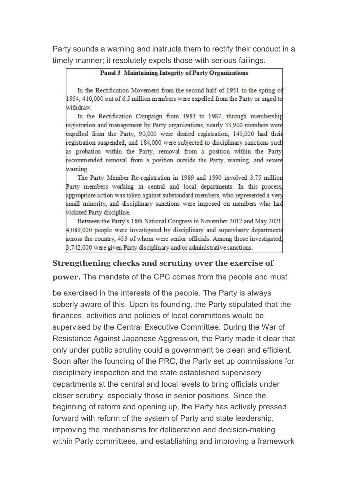Party sounds a warning and instructs them to rectify their conduct in a timely manner; it resolutely expels those with serious failings.

#### **Panel 3 Maintaining Integrity of Party Organizations**

In the Rectification Movement from the second half of 1951 to the spring of 1954, 410,000 out of 6.5 million members were expelled from the Party or urged to withdraw

In the Rectification Campaign from 1983 to 1987, through membership registration and management by Party organizations, nearly 33,900 members were expelled from the Party, 90,000 were denied registration, 145,000 had their registration suspended, and 184,000 were subjected to disciplinary sanctions such as probation within the Party, removal from a position within the Party. recommended removal from a position outside the Party, waming, and severe waming.

The Party Member Re-registration in 1989 and 1990 involved 3.75 million Party members working in central and local departments. In this process, appropriate action was taken against substandard members, who represented a very small minority, and disciplinary sanctions were imposed on members who had violated Party discipline.

Between the Party's 18th National Congress in November 2012 and May 2021. 4,089,000 people were investigated by disciplinary and supervisory departments across the country, 453 of whom were senior officials. Among those investigated, 3.742.000 were given Party disciplinary and/or administrative sanctions.

#### **Strengthening checks and scrutiny over the exercise of**

**power.** The mandate of the CPC comes from the people and must

be exercised in the interests of the people. The Party is always soberly aware of this. Upon its founding, the Party stipulated that the finances, activities and policies of local committees would be supervised by the Central Executive Committee. During the War of Resistance Against Japanese Aggression, the Party made it clear that only under public scrutiny could a government be clean and efficient. Soon after the founding of the PRC, the Party set up commissions for disciplinary inspection and the state established supervisory departments at the central and local levels to bring officials under closer scrutiny, especially those in senior positions. Since the beginning of reform and opening up, the Party has actively pressed forward with reform of the system of Party and state leadership, improving the mechanisms for deliberation and decision-making within Party committees, and establishing and improving a framework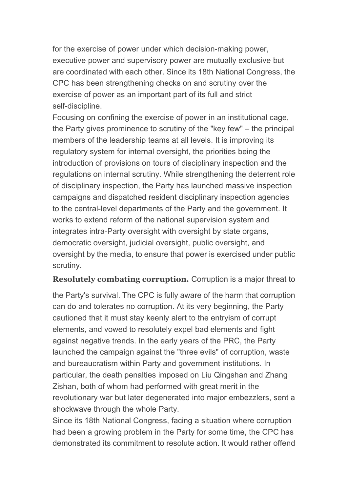for the exercise of power under which decision-making power, executive power and supervisory power are mutually exclusive but are coordinated with each other. Since its 18th National Congress, the CPC has been strengthening checks on and scrutiny over the exercise of power as an important part of its full and strict self-discipline.

Focusing on confining the exercise of power in an institutional cage, the Party gives prominence to scrutiny of the "key few" – the principal members of the leadership teams at all levels. It is improving its regulatory system for internal oversight, the priorities being the introduction of provisions on tours of disciplinary inspection and the regulations on internal scrutiny. While strengthening the deterrent role of disciplinary inspection, the Party has launched massive inspection campaigns and dispatched resident disciplinary inspection agencies to the central-level departments of the Party and the government. It works to extend reform of the national supervision system and integrates intra-Party oversight with oversight by state organs, democratic oversight, judicial oversight, public oversight, and oversight by the media, to ensure that power is exercised under public scrutiny.

**Resolutely combating corruption.** Corruption is a major threat to

the Party's survival. The CPC is fully aware of the harm that corruption can do and tolerates no corruption. At its very beginning, the Party cautioned that it must stay keenly alert to the entryism of corrupt elements, and vowed to resolutely expel bad elements and fight against negative trends. In the early years of the PRC, the Party launched the campaign against the "three evils" of corruption, waste and bureaucratism within Party and government institutions. In particular, the death penalties imposed on Liu Qingshan and Zhang Zishan, both of whom had performed with great merit in the revolutionary war but later degenerated into major embezzlers, sent a shockwave through the whole Party.

Since its 18th National Congress, facing a situation where corruption had been a growing problem in the Party for some time, the CPC has demonstrated its commitment to resolute action. It would rather offend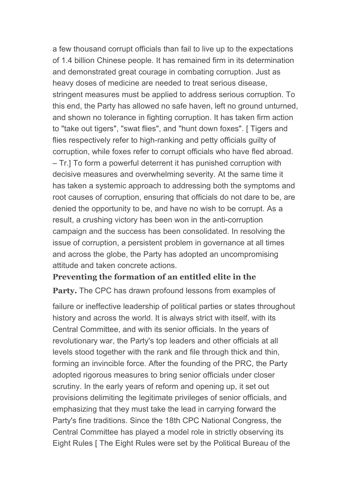a few thousand corrupt officials than fail to live up to the expectations of 1.4 billion Chinese people. It has remained firm in its determination and demonstrated great courage in combating corruption. Just as heavy doses of medicine are needed to treat serious disease, stringent measures must be applied to address serious corruption. To this end, the Party has allowed no safe haven, left no ground unturned, and shown no tolerance in fighting corruption. It has taken firm action to "take out tigers", "swat flies", and "hunt down foxes". [ Tigers and flies respectively refer to high-ranking and petty officials guilty of corruption, while foxes refer to corrupt officials who have fled abroad. – Tr.] To form a powerful deterrent it has punished corruption with decisive measures and overwhelming severity. At the same time it has taken a systemic approach to addressing both the symptoms and root causes of corruption, ensuring that officials do not dare to be, are denied the opportunity to be, and have no wish to be corrupt. As a result, a crushing victory has been won in the anti-corruption campaign and the success has been consolidated. In resolving the issue of corruption, a persistent problem in governance at all times and across the globe, the Party has adopted an uncompromising attitude and taken concrete actions.

#### **Preventing the formation of an entitled elite in the**

**Party.** The CPC has drawn profound lessons from examples of

failure or ineffective leadership of political parties or states throughout history and across the world. It is always strict with itself, with its Central Committee, and with its senior officials. In the years of revolutionary war, the Party's top leaders and other officials at all levels stood together with the rank and file through thick and thin, forming an invincible force. After the founding of the PRC, the Party adopted rigorous measures to bring senior officials under closer scrutiny. In the early years of reform and opening up, it set out provisions delimiting the legitimate privileges of senior officials, and emphasizing that they must take the lead in carrying forward the Party's fine traditions. Since the 18th CPC National Congress, the Central Committee has played a model role in strictly observing its Eight Rules [ The Eight Rules were set by the Political Bureau of the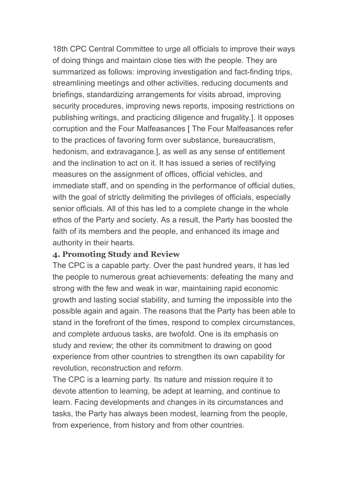18th CPC Central Committee to urge all officials to improve their ways of doing things and maintain close ties with the people. They are summarized as follows: improving investigation and fact-finding trips, streamlining meetings and other activities, reducing documents and briefings, standardizing arrangements for visits abroad, improving security procedures, improving news reports, imposing restrictions on publishing writings, and practicing diligence and frugality.]. It opposes corruption and the Four Malfeasances [ The Four Malfeasances refer to the practices of favoring form over substance, bureaucratism, hedonism, and extravagance.], as well as any sense of entitlement and the inclination to act on it. It has issued a series of rectifying measures on the assignment of offices, official vehicles, and immediate staff, and on spending in the performance of official duties, with the goal of strictly delimiting the privileges of officials, especially senior officials. All of this has led to a complete change in the whole ethos of the Party and society. As a result, the Party has boosted the faith of its members and the people, and enhanced its image and authority in their hearts.

#### **4. Promoting Study and Review**

The CPC is a capable party. Over the past hundred years, it has led the people to numerous great achievements: defeating the many and strong with the few and weak in war, maintaining rapid economic growth and lasting social stability, and turning the impossible into the possible again and again. The reasons that the Party has been able to stand in the forefront of the times, respond to complex circumstances, and complete arduous tasks, are twofold. One is its emphasis on study and review; the other its commitment to drawing on good experience from other countries to strengthen its own capability for revolution, reconstruction and reform.

The CPC is a learning party. Its nature and mission require it to devote attention to learning, be adept at learning, and continue to learn. Facing developments and changes in its circumstances and tasks, the Party has always been modest, learning from the people, from experience, from history and from other countries.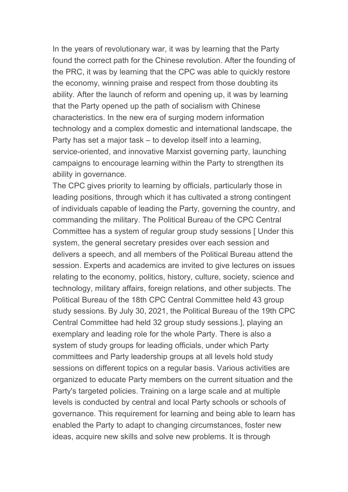In the years of revolutionary war, it was by learning that the Party found the correct path for the Chinese revolution. After the founding of the PRC, it was by learning that the CPC was able to quickly restore the economy, winning praise and respect from those doubting its ability. After the launch of reform and opening up, it was by learning that the Party opened up the path of socialism with Chinese characteristics. In the new era of surging modern information technology and a complex domestic and international landscape, the Party has set a major task – to develop itself into a learning, service-oriented, and innovative Marxist governing party, launching campaigns to encourage learning within the Party to strengthen its ability in governance.

The CPC gives priority to learning by officials, particularly those in leading positions, through which it has cultivated a strong contingent of individuals capable of leading the Party, governing the country, and commanding the military. The Political Bureau of the CPC Central Committee has a system of regular group study sessions [ Under this system, the general secretary presides over each session and delivers a speech, and all members of the Political Bureau attend the session. Experts and academics are invited to give lectures on issues relating to the economy, politics, history, culture, society, science and technology, military affairs, foreign relations, and other subjects. The Political Bureau of the 18th CPC Central Committee held 43 group study sessions. By July 30, 2021, the Political Bureau of the 19th CPC Central Committee had held 32 group study sessions.], playing an exemplary and leading role for the whole Party. There is also a system of study groups for leading officials, under which Party committees and Party leadership groups at all levels hold study sessions on different topics on a regular basis. Various activities are organized to educate Party members on the current situation and the Party's targeted policies. Training on a large scale and at multiple levels is conducted by central and local Party schools or schools of governance. This requirement for learning and being able to learn has enabled the Party to adapt to changing circumstances, foster new ideas, acquire new skills and solve new problems. It is through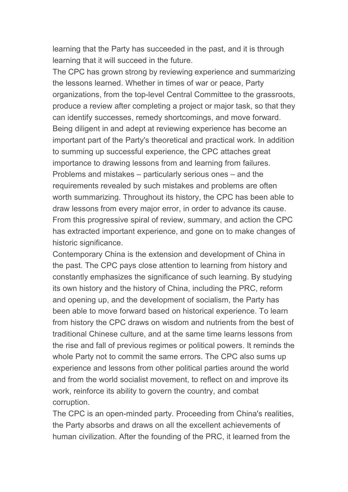learning that the Party has succeeded in the past, and it is through learning that it will succeed in the future.

The CPC has grown strong by reviewing experience and summarizing the lessons learned. Whether in times of war or peace, Party organizations, from the top-level Central Committee to the grassroots, produce a review after completing a project or major task, so that they can identify successes, remedy shortcomings, and move forward. Being diligent in and adept at reviewing experience has become an important part of the Party's theoretical and practical work. In addition to summing up successful experience, the CPC attaches great importance to drawing lessons from and learning from failures. Problems and mistakes – particularly serious ones – and the requirements revealed by such mistakes and problems are often worth summarizing. Throughout its history, the CPC has been able to draw lessons from every major error, in order to advance its cause. From this progressive spiral of review, summary, and action the CPC has extracted important experience, and gone on to make changes of historic significance.

Contemporary China is the extension and development of China in the past. The CPC pays close attention to learning from history and constantly emphasizes the significance of such learning. By studying its own history and the history of China, including the PRC, reform and opening up, and the development of socialism, the Party has been able to move forward based on historical experience. To learn from history the CPC draws on wisdom and nutrients from the best of traditional Chinese culture, and at the same time learns lessons from the rise and fall of previous regimes or political powers. It reminds the whole Party not to commit the same errors. The CPC also sums up experience and lessons from other political parties around the world and from the world socialist movement, to reflect on and improve its work, reinforce its ability to govern the country, and combat corruption.

The CPC is an open-minded party. Proceeding from China's realities, the Party absorbs and draws on all the excellent achievements of human civilization. After the founding of the PRC, it learned from the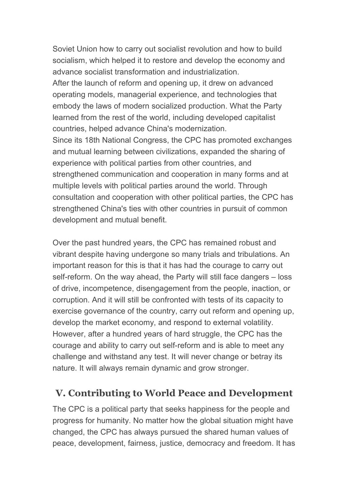Soviet Union how to carry out socialist revolution and how to build socialism, which helped it to restore and develop the economy and advance socialist transformation and industrialization.

After the launch of reform and opening up, it drew on advanced operating models, managerial experience, and technologies that embody the laws of modern socialized production. What the Party learned from the rest of the world, including developed capitalist countries, helped advance China's modernization.

Since its 18th National Congress, the CPC has promoted exchanges and mutual learning between civilizations, expanded the sharing of experience with political parties from other countries, and strengthened communication and cooperation in many forms and at multiple levels with political parties around the world. Through consultation and cooperation with other political parties, the CPC has strengthened China's ties with other countries in pursuit of common development and mutual benefit.

Over the past hundred years, the CPC has remained robust and vibrant despite having undergone so many trials and tribulations. An important reason for this is that it has had the courage to carry out self-reform. On the way ahead, the Party will still face dangers – loss of drive, incompetence, disengagement from the people, inaction, or corruption. And it will still be confronted with tests of its capacity to exercise governance of the country, carry out reform and opening up, develop the market economy, and respond to external volatility. However, after a hundred years of hard struggle, the CPC has the courage and ability to carry out self-reform and is able to meet any challenge and withstand any test. It will never change or betray its nature. It will always remain dynamic and grow stronger.

# **V. Contributing to World Peace and Development**

The CPC is a political party that seeks happiness for the people and progress for humanity. No matter how the global situation might have changed, the CPC has always pursued the shared human values of peace, development, fairness, justice, democracy and freedom. It has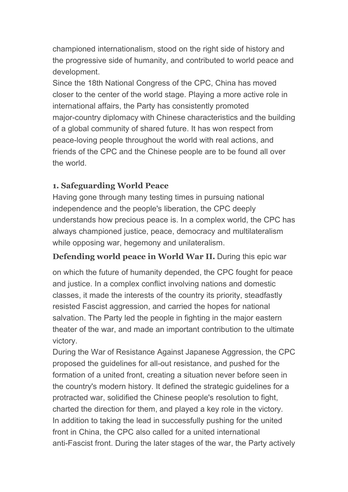championed internationalism, stood on the right side of history and the progressive side of humanity, and contributed to world peace and development.

Since the 18th National Congress of the CPC, China has moved closer to the center of the world stage. Playing a more active role in international affairs, the Party has consistently promoted major-country diplomacy with Chinese characteristics and the building of a global community of shared future. It has won respect from peace-loving people throughout the world with real actions, and friends of the CPC and the Chinese people are to be found all over the world.

#### **1. Safeguarding World Peace**

Having gone through many testing times in pursuing national independence and the people's liberation, the CPC deeply understands how precious peace is. In a complex world, the CPC has always championed justice, peace, democracy and multilateralism while opposing war, hegemony and unilateralism.

#### **Defending world peace in World War II.** During this epic war

on which the future of humanity depended, the CPC fought for peace and justice. In a complex conflict involving nations and domestic classes, it made the interests of the country its priority, steadfastly resisted Fascist aggression, and carried the hopes for national salvation. The Party led the people in fighting in the major eastern theater of the war, and made an important contribution to the ultimate victory.

During the War of Resistance Against Japanese Aggression, the CPC proposed the guidelines for all-out resistance, and pushed for the formation of a united front, creating a situation never before seen in the country's modern history. It defined the strategic guidelines for a protracted war, solidified the Chinese people's resolution to fight, charted the direction for them, and played a key role in the victory. In addition to taking the lead in successfully pushing for the united front in China, the CPC also called for a united international anti-Fascist front. During the later stages of the war, the Party actively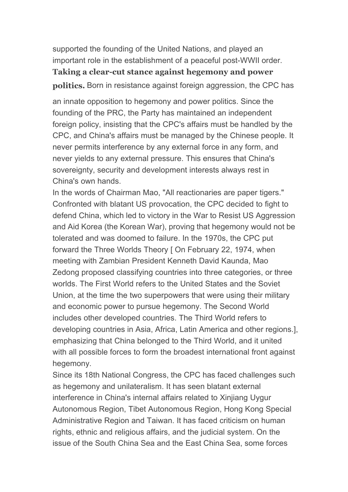supported the founding of the United Nations, and played an important role in the establishment of a peaceful post-WWII order. **Taking a clear-cut stance against hegemony and power politics.** Born in resistance against foreign aggression, the CPC has

an innate opposition to hegemony and power politics. Since the founding of the PRC, the Party has maintained an independent foreign policy, insisting that the CPC's affairs must be handled by the CPC, and China's affairs must be managed by the Chinese people. It never permits interference by any external force in any form, and never yields to any external pressure. This ensures that China's sovereignty, security and development interests always rest in China's own hands.

In the words of Chairman Mao, "All reactionaries are paper tigers." Confronted with blatant US provocation, the CPC decided to fight to defend China, which led to victory in the War to Resist US Aggression and Aid Korea (the Korean War), proving that hegemony would not be tolerated and was doomed to failure. In the 1970s, the CPC put forward the Three Worlds Theory [ On February 22, 1974, when meeting with Zambian President Kenneth David Kaunda, Mao Zedong proposed classifying countries into three categories, or three worlds. The First World refers to the United States and the Soviet Union, at the time the two superpowers that were using their military and economic power to pursue hegemony. The Second World includes other developed countries. The Third World refers to developing countries in Asia, Africa, Latin America and other regions.], emphasizing that China belonged to the Third World, and it united with all possible forces to form the broadest international front against hegemony.

Since its 18th National Congress, the CPC has faced challenges such as hegemony and unilateralism. It has seen blatant external interference in China's internal affairs related to Xinjiang Uygur Autonomous Region, Tibet Autonomous Region, Hong Kong Special Administrative Region and Taiwan. It has faced criticism on human rights, ethnic and religious affairs, and the judicial system. On the issue of the South China Sea and the East China Sea, some forces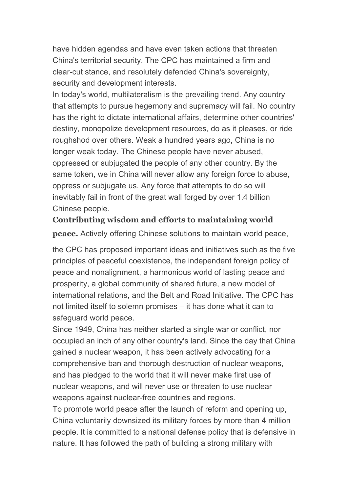have hidden agendas and have even taken actions that threaten China's territorial security. The CPC has maintained a firm and clear-cut stance, and resolutely defended China's sovereignty, security and development interests.

In today's world, multilateralism is the prevailing trend. Any country that attempts to pursue hegemony and supremacy will fail. No country has the right to dictate international affairs, determine other countries' destiny, monopolize development resources, do as it pleases, or ride roughshod over others. Weak a hundred years ago, China is no longer weak today. The Chinese people have never abused, oppressed or subjugated the people of any other country. By the same token, we in China will never allow any foreign force to abuse, oppress or subjugate us. Any force that attempts to do so will inevitably fail in front of the great wall forged by over 1.4 billion Chinese people.

#### **Contributing** wisdom and efforts to maintaining world

**peace.** Actively offering Chinese solutions to maintain world peace,

the CPC has proposed important ideas and initiatives such as the five principles of peaceful coexistence, the independent foreign policy of peace and nonalignment, a harmonious world of lasting peace and prosperity, a global community of shared future, a new model of international relations, and the Belt and Road Initiative. The CPC has not limited itself to solemn promises – it has done what it can to safeguard world peace.

Since 1949, China has neither started a single war or conflict, nor occupied an inch of any other country's land. Since the day that China gained a nuclear weapon, it has been actively advocating for a comprehensive ban and thorough destruction of nuclear weapons, and has pledged to the world that it will never make first use of nuclear weapons, and will never use or threaten to use nuclear weapons against nuclear-free countries and regions.

To promote world peace after the launch of reform and opening up, China voluntarily downsized its military forces by more than 4 million people. It is committed to a national defense policy that is defensive in nature. It has followed the path of building a strong military with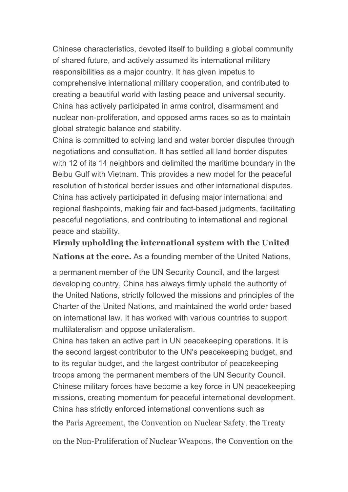Chinese characteristics, devoted itself to building a global community of shared future, and actively assumed its international military responsibilities as a major country. It has given impetus to comprehensive international military cooperation, and contributed to creating a beautiful world with lasting peace and universal security. China has actively participated in arms control, disarmament and nuclear non-proliferation, and opposed arms races so as to maintain global strategic balance and stability.

China is committed to solving land and water border disputes through negotiations and consultation. It has settled all land border disputes with 12 of its 14 neighbors and delimited the maritime boundary in the Beibu Gulf with Vietnam. This provides a new model for the peaceful resolution of historical border issues and other international disputes. China has actively participated in defusing major international and regional flashpoints, making fair and fact-based judgments, facilitating peaceful negotiations, and contributing to international and regional peace and stability.

**Firmly upholding the international system with the United**

**Nations at the core.** As a founding member of the United Nations,

a permanent member of the UN Security Council, and the largest developing country, China has always firmly upheld the authority of the United Nations, strictly followed the missions and principles of the Charter of the United Nations, and maintained the world order based on international law. It has worked with various countries to support multilateralism and oppose unilateralism.

China has taken an active part in UN peacekeeping operations. It is the second largest contributor to the UN's peacekeeping budget, and to its regular budget, and the largest contributor of peacekeeping troops among the permanent members of the UN Security Council. Chinese military forces have become a key force in UN peacekeeping missions, creating momentum for peaceful international development. China has strictly enforced international conventions such as the Paris Agreement, the Convention on Nuclear Safety, the Treaty

on the Non-Proliferation of Nuclear Weapons, the Convention on the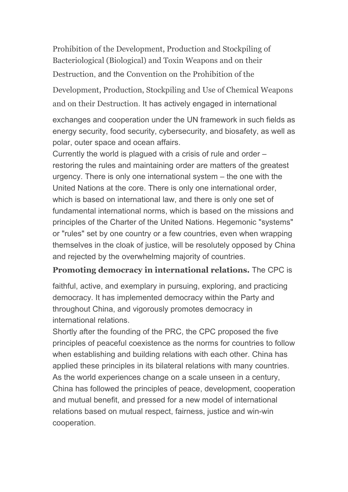Prohibition of the Development, Production and Stockpiling of Bacteriological (Biological) and Toxin Weapons and on their Destruction, and the Convention on the Prohibition of the

Development, Production, Stockpiling and Use of Chemical Weapons and on their Destruction. It has actively engaged in international

exchanges and cooperation under the UN framework in such fields as energy security, food security, cybersecurity, and biosafety, as well as polar, outer space and ocean affairs.

Currently the world is plagued with a crisis of rule and order – restoring the rules and maintaining order are matters of the greatest urgency. There is only one international system – the one with the United Nations at the core. There is only one international order, which is based on international law, and there is only one set of fundamental international norms, which is based on the missions and principles of the Charter of the United Nations. Hegemonic "systems" or "rules" set by one country or a few countries, even when wrapping themselves in the cloak of justice, will be resolutely opposed by China and rejected by the overwhelming majority of countries.

### **Promoting democracy in international relations.** The CPC is

faithful, active, and exemplary in pursuing, exploring, and practicing democracy. It has implemented democracy within the Party and throughout China, and vigorously promotes democracy in international relations.

Shortly after the founding of the PRC, the CPC proposed the five principles of peaceful coexistence as the norms for countries to follow when establishing and building relations with each other. China has applied these principles in its bilateral relations with many countries. As the world experiences change on a scale unseen in a century, China has followed the principles of peace, development, cooperation and mutual benefit, and pressed for a new model of international relations based on mutual respect, fairness, justice and win-win cooperation.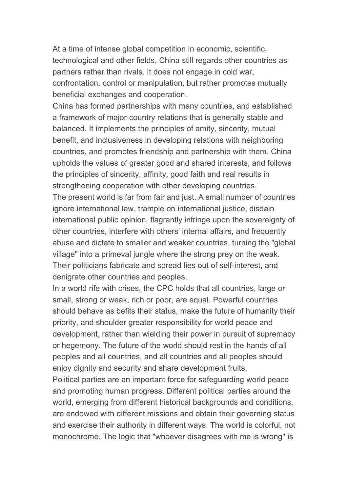At a time of intense global competition in economic, scientific, technological and other fields, China still regards other countries as partners rather than rivals. It does not engage in cold war, confrontation, control or manipulation, but rather promotes mutually beneficial exchanges and cooperation.

China has formed partnerships with many countries, and established a framework of major-country relations that is generally stable and balanced. It implements the principles of amity, sincerity, mutual benefit, and inclusiveness in developing relations with neighboring countries, and promotes friendship and partnership with them. China upholds the values of greater good and shared interests, and follows the principles of sincerity, affinity, good faith and real results in strengthening cooperation with other developing countries.

The present world is far from fair and just. A small number of countries ignore international law, trample on international justice, disdain international public opinion, flagrantly infringe upon the sovereignty of other countries, interfere with others' internal affairs, and frequently abuse and dictate to smaller and weaker countries, turning the "global village" into a primeval jungle where the strong prey on the weak. Their politicians fabricate and spread lies out of self-interest, and denigrate other countries and peoples.

In a world rife with crises, the CPC holds that all countries, large or small, strong or weak, rich or poor, are equal. Powerful countries should behave as befits their status, make the future of humanity their priority, and shoulder greater responsibility for world peace and development, rather than wielding their power in pursuit of supremacy or hegemony. The future of the world should rest in the hands of all peoples and all countries, and all countries and all peoples should enjoy dignity and security and share development fruits.

Political parties are an important force for safeguarding world peace and promoting human progress. Different political parties around the world, emerging from different historical backgrounds and conditions, are endowed with different missions and obtain their governing status and exercise their authority in different ways. The world is colorful, not monochrome. The logic that "whoever disagrees with me is wrong" is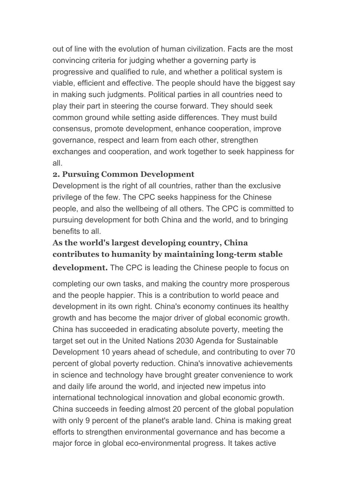out of line with the evolution of human civilization. Facts are the most convincing criteria for judging whether a governing party is progressive and qualified to rule, and whether a political system is viable, efficient and effective. The people should have the biggest say in making such judgments. Political parties in all countries need to play their partin steering the course forward. They should seek common ground while setting aside differences. They must build consensus, promote development, enhance cooperation, improve governance, respect and learn from each other, strengthen exchanges and cooperation, and work together to seek happiness for all.

### **2. Pursuing Common Development**

Development is the right of all countries, rather than the exclusive privilege of the few. The CPC seeks happiness for the Chinese people, and also the wellbeing of all others. The CPC is committed to pursuing development for both China and the world, and to bringing benefits to all.

# **As the world's largest developing country, China contributes to humanity by maintaining long-term stable**

**development.** The CPC is leading the Chinese people to focus on

completing our own tasks, and making the country more prosperous and the people happier. This is a contribution to world peace and development in its own right. China's economy continues its healthy growth and has become the major driver of global economic growth. China has succeeded in eradicating absolute poverty, meeting the target set out in the United Nations 2030 Agenda for Sustainable Development 10 years ahead of schedule, and contributing to over 70 percent of global poverty reduction. China's innovative achievements in science and technology have brought greater convenience to work and daily life around the world, and injected new impetus into international technological innovation and global economic growth. China succeeds in feeding almost 20 percent of the global population with only 9 percent of the planet's arable land. China is making great efforts to strengthen environmental governance and has become a major force in global eco-environmental progress. It takes active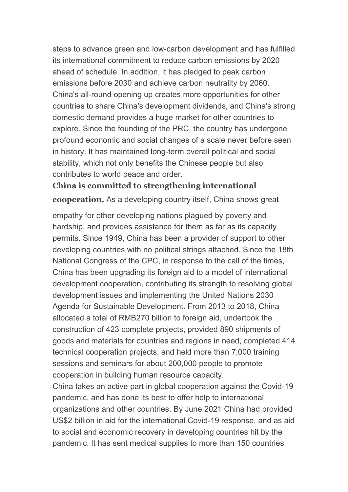steps to advance green and low-carbon development and has fulfilled its international commitment to reduce carbon emissions by 2020 ahead of schedule. In addition, it has pledged to peak carbon emissions before 2030 and achieve carbon neutrality by 2060. China's all-round opening up creates more opportunities for other countries to share China's development dividends, and China's strong domestic demand provides a huge market for other countries to explore. Since the founding of the PRC, the country has undergone profound economic and social changes of a scale never before seen in history. It has maintained long-term overall political and social stability, which not only benefits the Chinese people but also contributes to world peace and order.

### **China is committed to strengthening international cooperation.** As a developing country itself, China shows great

empathy for other developing nations plagued by poverty and hardship, and provides assistance for them as far as its capacity permits. Since 1949, China has been a provider of support to other developing countries with no political strings attached. Since the 18th National Congress of the CPC, in response to the call of the times, China has been upgrading its foreign aid to a model of international development cooperation, contributing its strength to resolving global development issues and implementing the United Nations 2030 Agenda for Sustainable Development. From 2013 to 2018, China allocated a total of RMB270 billion to foreign aid, undertook the construction of 423 complete projects, provided 890 shipments of goods and materials for countries and regions in need, completed 414 technical cooperation projects, and held more than 7,000 training sessions and seminars for about 200,000 people to promote cooperation in building human resource capacity.

China takes an active part in global cooperation against the Covid-19 pandemic, and has done its best to offer help to international organizations and other countries. By June 2021 China had provided US\$2 billion in aid for the international Covid-19 response, and as aid to social and economic recovery in developing countries hit by the pandemic. It has sent medical supplies to more than 150 countries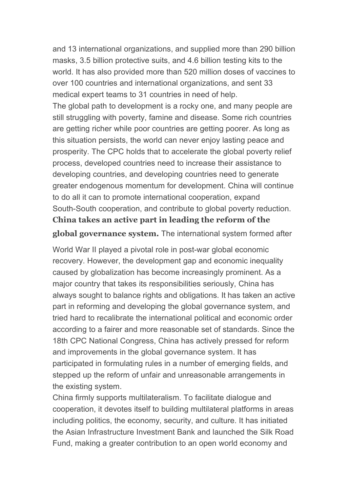and 13 international organizations, and supplied more than 290 billion masks, 3.5 billion protective suits, and 4.6 billion testing kits to the world. It has also provided more than 520 million doses of vaccines to over 100 countries and international organizations, and sent 33 medical expert teams to 31 countries in need of help.

The global path to development is a rocky one, and many people are still struggling with poverty, famine and disease. Some rich countries are getting richer while poor countries are getting poorer. As long as this situation persists, the world can never enjoy lasting peace and prosperity. The CPC holds that to accelerate the global poverty relief process, developed countries need to increase their assistance to developing countries, and developing countries need to generate greater endogenous momentum for development. China will continue to do all it can to promote international cooperation, expand South-South cooperation, and contribute to global poverty reduction. **China takes an active part in leading the reform of the**

**global governance system.** The international system formed after

World War II played a pivotal role in post-war global economic recovery. However, the development gap and economic inequality caused by globalization has become increasingly prominent. As a major country that takes its responsibilities seriously, China has always sought to balance rights and obligations. It has taken an active part in reforming and developing the global governance system, and tried hard to recalibrate the international political and economic order according to a fairer and more reasonable set of standards. Since the 18th CPC National Congress, China has actively pressed for reform and improvements in the global governance system. It has participated in formulating rules in a number of emerging fields, and stepped up the reform of unfair and unreasonable arrangements in the existing system.

China firmly supports multilateralism. To facilitate dialogue and cooperation, it devotes itself to building multilateral platforms in areas including politics, the economy, security, and culture. It has initiated the Asian Infrastructure Investment Bank and launched the Silk Road Fund, making a greater contribution to an open world economy and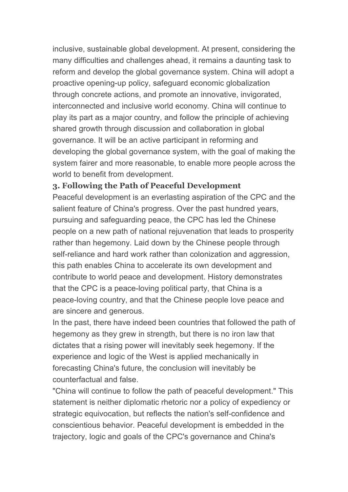inclusive, sustainable global development. At present, considering the many difficulties and challenges ahead, it remains a daunting task to reform and develop the global governance system. China will adopt a proactive opening-up policy, safeguard economic globalization through concrete actions, and promote an innovative, invigorated, interconnected and inclusive world economy. China will continue to play its part as a major country, and follow the principle of achieving shared growth through discussion and collaboration in global governance. It will be an active participant in reforming and developing the global governance system, with the goal of making the system fairer and more reasonable, to enable more people across the world to benefit from development.

#### **3. Following the Path of Peaceful Development**

Peaceful development is an everlasting aspiration of the CPC and the salient feature of China's progress. Over the past hundred years, pursuing and safeguarding peace, the CPC has led the Chinese people on a new path of national rejuvenation that leads to prosperity rather than hegemony. Laid down by the Chinese people through self-reliance and hard work rather than colonization and aggression. this path enables China to accelerate its own development and contribute to world peace and development. History demonstrates that the CPC is a peace-loving political party, that China is a peace-loving country, and that the Chinese people love peace and are sincere and generous.

In the past, there have indeed been countries that followed the path of hegemony as they grew in strength, but there is no iron law that dictates that a rising power will inevitably seek hegemony. If the experience and logic of the West is applied mechanically in forecasting China's future, the conclusion will inevitably be counterfactual and false.

"China will continue to follow the path of peaceful development." This statement is neither diplomatic rhetoric nor a policy of expediency or strategic equivocation, but reflects the nation's self-confidence and conscientious behavior. Peaceful development is embedded in the trajectory, logic and goals of the CPC's governance and China's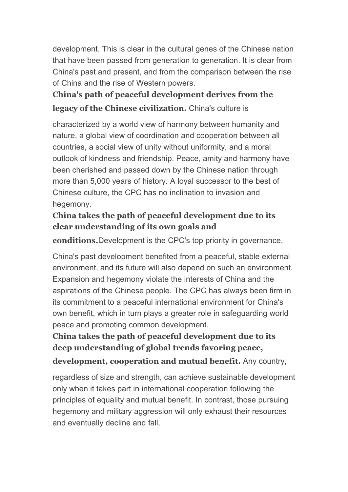development. This is clear in the cultural genes of the Chinese nation that have been passed from generation to generation. It is clear from China's past and present, and from the comparison between the rise of China and the rise of Western powers.

# **China's path of peaceful development derives from the legacy of the Chinese civilization.** China's culture is

characterized by a world view of harmony between humanity and nature, a global view of coordination and cooperation between all countries, a social view of unity without uniformity, and a moral outlook of kindness and friendship. Peace, amity and harmony have been cherished and passed down by the Chinese nation through more than 5,000 years of history. A loyal successor to the best of Chinese culture, the CPC has no inclination to invasion and hegemony.

### **China takes the path of peaceful development due to its clear understanding of its own goals and**

**conditions.**Development is the CPC's top priority in governance.

China's past development benefited from a peaceful, stable external environment, and its future will also depend on such an environment. Expansion and hegemony violate the interests of China and the aspirations of the Chinese people. The CPC has always been firm in its commitment to a peaceful international environment for China's own benefit, which in turn plays a greater role in safeguarding world peace and promoting common development.

**China takes the path of peaceful development due to its deep understanding of global trends favoring peace, development, cooperation and mutual benefit.** Any country,

regardless of size and strength, can achieve sustainable development only when it takes part in international cooperation following the principles of equality and mutual benefit. In contrast, those pursuing hegemony and military aggression will only exhaust their resources and eventually decline and fall.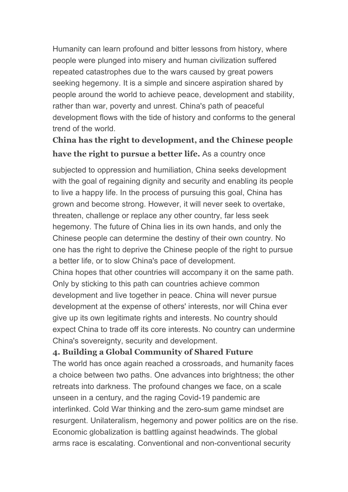Humanity can learn profound and bitter lessons from history, where people were plunged into misery and human civilization suffered repeated catastrophes due to the wars caused by great powers seeking hegemony. It is a simple and sincere aspiration shared by people around the world to achieve peace, development and stability, rather than war, poverty and unrest. China's path of peaceful development flows with the tide of history and conforms to the general trend of the world.

## **China has the right to development, and the Chinese people have the right to pursue a better life.** As a country once

subjected to oppression and humiliation, China seeks development with the goal of regaining dignity and security and enabling its people to live a happy life. In the process of pursuing this goal, China has grown and become strong. However, it will never seek to overtake, threaten, challenge or replace any other country, far less seek hegemony. The future of China lies in its own hands, and only the Chinese people can determine the destiny of their own country. No one has the right to deprive the Chinese people of the right to pursue a better life, or to slow China's pace of development. China hopes that other countries will accompany it on the same path. Only by sticking to this path can countries achieve common development and live together in peace. China will never pursue development at the expense of others' interests, nor will China ever give up its own legitimate rights and interests. No country should expect China to trade off its core interests. No country can undermine China's sovereignty, security and development.

### **4. Building a Global Community of Shared Future**

The world has once again reached a crossroads, and humanity faces a choice between two paths. One advances into brightness; the other retreats into darkness. The profound changes we face, on a scale unseen in a century, and the raging Covid-19 pandemic are interlinked. Cold War thinking and the zero-sum game mindset are resurgent. Unilateralism, hegemony and power politics are on the rise.<br>Economic globalization is battling against headwinds. The global arms race is escalating. Conventional and non-conventional security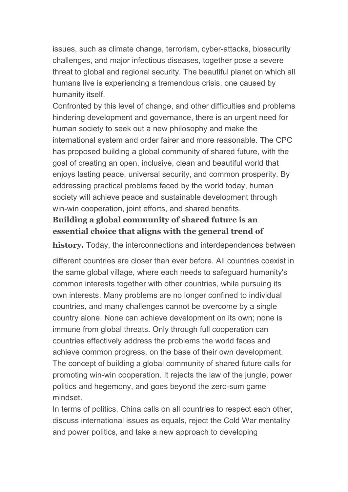issues, such as climate change, terrorism, cyber-attacks, biosecurity challenges, and major infectious diseases, together pose a severe threat to global and regional security. The beautiful planet on which all humans live is experiencing a tremendous crisis, one caused by humanity itself.

Confronted by this level of change, and other difficulties and problems hindering development and governance, there is an urgent need for human society to seek out a new philosophy and make the international system and order fairer and more reasonable. The CPC has proposed building a global community of shared future, with the goal of creating an open, inclusive, clean and beautiful world that enjoys lasting peace, universal security, and common prosperity. By addressing practical problems faced by the world today, human society will achieve peace and sustainable development through win-win cooperation, joint efforts, and shared benefits.

### **Building a global community of shared future isan essential choice that aligns with the general trend of**

**history.** Today, the interconnections and interdependences between

different countries are closer than ever before. All countries coexist in the same global village, where each needs to safeguard humanity's common interests together with other countries, while pursuing its own interests. Many problems are no longer confined to individual countries, and many challenges cannot be overcome by a single country alone. None can achieve development on its own; none is immune from global threats. Only through full cooperation can countries effectively address the problems the world faces and achieve common progress, on the base of their own development. The concept of building a global community of shared future calls for promoting win-win cooperation. It rejects the law of the jungle, power politics and hegemony, and goes beyond the zero-sum game mindset.

In terms of politics, China calls on all countries to respect each other, discuss international issues as equals, reject the Cold War mentality and power politics, and take a new approach to developing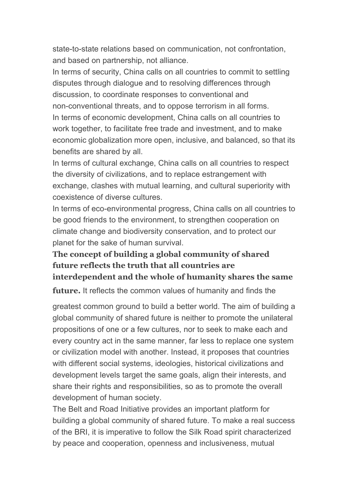state-to-state relations based on communication, not confrontation, and based on partnership, not alliance.

In terms of security, China calls on all countries to commit to settling disputes through dialogue and to resolving differences through discussion, to coordinate responses to conventional and non-conventional threats, and to oppose terrorism in all forms. In terms of economic development, China calls on all countries to work together, to facilitate free trade and investment, and to make economic globalization more open, inclusive, and balanced, so that its benefits are shared by all.

In terms of cultural exchange, China calls on all countries to respect the diversity of civilizations, and to replace estrangement with exchange, clashes with mutual learning, and cultural superiority with coexistence of diverse cultures.

In terms of eco-environmental progress, China calls on all countries to be good friends to the environment, to strengthen cooperation on climate change and biodiversity conservation, and to protect our planet for the sake of human survival.

### **The concept of building a global community of shared future reflects the truth that all countries are interdependent and the whole of humanity shares the same**

**future.** It reflects the common values of humanity and finds the

greatest common ground to build a better world. The aim of building a global community of shared future is neither to promote the unilateral propositions of one or a few cultures, nor to seek to make each and every country act in the same manner, far less to replace one system or civilization model with another. Instead, it proposes that countries with different social systems, ideologies, historical civilizations and development levels target the same goals, align their interests, and share their rights and responsibilities, so as to promote the overall development of human society.

The Belt and Road Initiative provides an important platform for building a global community of shared future. To make a real success of the BRI, it is imperative to follow the Silk Road spirit characterized by peace and cooperation, openness and inclusiveness, mutual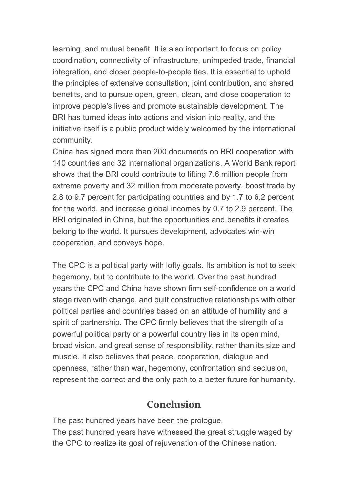learning, and mutual benefit. It is also important to focus on policy coordination, connectivity of infrastructure, unimpeded trade, financial integration, and closer people-to-people ties. It is essential to uphold the principles of extensive consultation, joint contribution, and shared benefits, and to pursue open, green, clean, and close cooperation to improve people's lives and promote sustainable development. The BRI has turned ideas into actions and vision into reality, and the initiative itself is a public product widely welcomed by the international community.

China has signed more than 200 documents on BRI cooperation with 140 countries and 32 international organizations. A World Bank report shows that the BRI could contribute to lifting 7.6 million people from extreme poverty and 32 million from moderate poverty, boost trade by 2.8 to 9.7 percent for participating countries and by 1.7 to 6.2 percent for the world, and increase global incomes by 0.7 to 2.9 percent. The BRI originated in China, but the opportunities and benefits it creates belong to the world. It pursues development, advocates win-win cooperation, and conveys hope.

The CPC is a political party with lofty goals. Its ambition is not to seek hegemony, but to contribute to the world. Over the past hundred years the CPC and China have shown firm self-confidence on a world stage riven with change, and built constructive relationships with other political parties and countries based on an attitude of humility and a spirit of partnership. The CPC firmly believes that the strength of a powerful political party or a powerful country lies in its open mind, broad vision, and great sense of responsibility, rather than its size and muscle. It also believes that peace, cooperation, dialogue and openness, rather than war, hegemony, confrontation and seclusion, represent the correct and the only path to a better future for humanity.

### **Conclusion**

The past hundred years have been the prologue.

The past hundred years have witnessed the great struggle waged by the CPC to realize its goal of rejuvenation of the Chinese nation.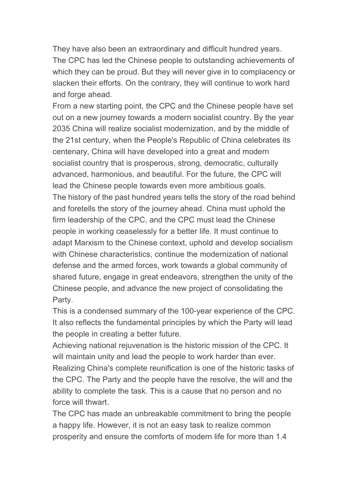They have also been an extraordinary and difficult hundred years. The CPC has led the Chinese people to outstanding achievements of which they can be proud. But they will never give in to complacency or slacken their efforts. On the contrary, they will continue to work hard and forge ahead.

From a new starting point, the CPC and the Chinese people have set out on a new journey towards a modern socialist country. By the year 2035 China will realize socialist modernization, and by the middle of the 21st century, when the People's Republic of China celebrates its centenary, China will have developed into a great and modern socialist country that is prosperous, strong, democratic, culturally advanced, harmonious, and beautiful. For the future, the CPC will lead the Chinese people towards even more ambitious goals. The history of the past hundred years tells the story of the road behind and foretells the story of the journey ahead. China must uphold the firm leadership of the CPC, and the CPC must lead the Chinese people in working ceaselessly for a better life. It must continue to adapt Marxism to the Chinese context, uphold and develop socialism with Chinese characteristics, continue the modernization of national defense and the armed forces, work towards a global community of shared future, engage in great endeavors, strengthen the unity of the Chinese people, and advance the new project of consolidating the Party.

This is a condensed summary of the 100-year experience of the CPC. It also reflects the fundamental principles by which the Party will lead the people in creating a better future.

Achieving national rejuvenation is the historic mission of the CPC. It will maintain unity and lead the people to work harder than ever. Realizing China's complete reunification is one of the historic tasks of the CPC. The Party and the people have the resolve, the will and the ability to complete the task. This is a cause that no person and no force will thwart.

The CPC has made an unbreakable commitment to bring the people a happy life. However, it is not an easy task to realize common prosperity and ensure the comforts of modern life for more than 1.4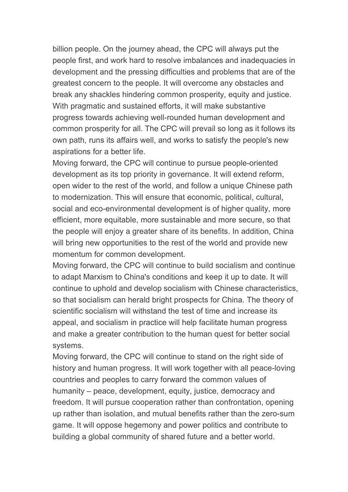billion people. On the journey ahead, the CPC will always put the people first, and work hard to resolve imbalances and inadequacies in development and the pressing difficulties and problems that are of the greatest concern to the people. It will overcome any obstacles and break any shackles hindering common prosperity, equity and justice. With pragmatic and sustained efforts, it will make substantive progress towards achieving well-rounded human development and common prosperity for all. The CPC will prevail so long as it follows its own path, runs its affairs well, and works to satisfy the people's new aspirations for a better life.

Moving forward, the CPC will continue to pursue people-oriented development as its top priority in governance. It will extend reform, open wider to the rest of the world, and follow a unique Chinese path to modernization. This will ensure that economic, political, cultural, social and eco-environmental development is of higher quality, more efficient, more equitable, more sustainable and more secure, so that the people will enjoy a greater share of its benefits. In addition, China will bring new opportunities to the rest of the world and provide new momentum for common development.

Moving forward, the CPC will continue to build socialism and continue to adapt Marxism to China's conditions and keep it up to date. It will continue to uphold and develop socialism with Chinese characteristics, so that socialism can herald bright prospects for China. The theory of scientific socialism will withstand the test of time and increase its appeal, and socialism in practice will help facilitate human progress and make a greater contribution to the human quest for better social systems.

Moving forward, the CPC will continue to stand on the right side of history and human progress. It will work together with all peace-loving countries and peoples to carry forward the common values of humanity – peace, development, equity, justice, democracy and freedom. It will pursue cooperation rather than confrontation, opening up rather than isolation, and mutual benefits rather than the zero-sum game. It will oppose hegemony and power politics and contribute to building a global community of shared future and a better world.